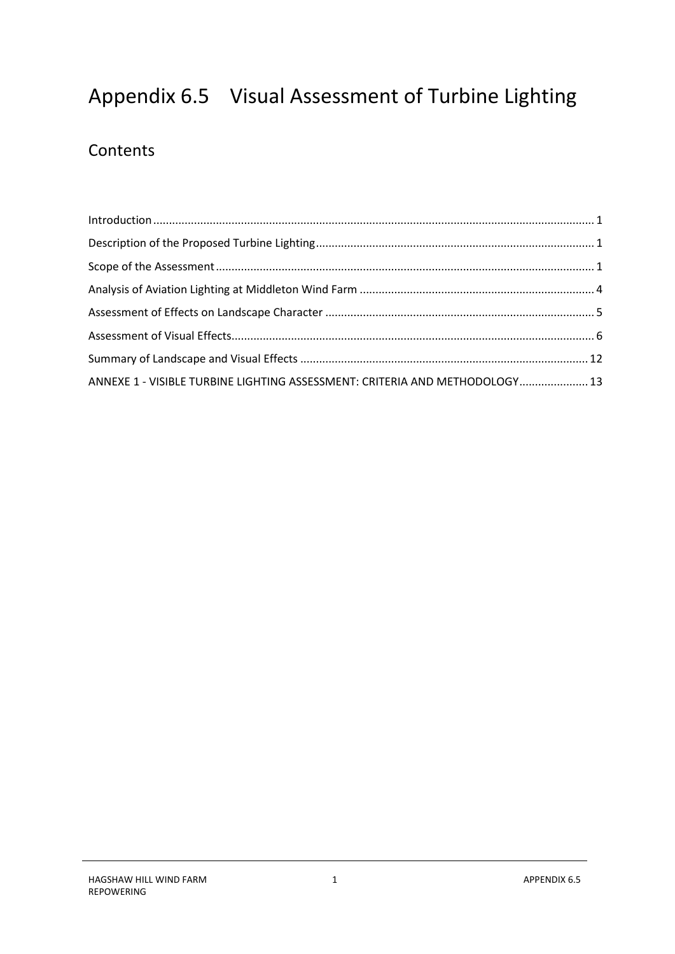# Appendix 6.5 Visual Assessment of Turbine Lighting

## **Contents**

| ANNEXE 1 - VISIBLE TURBINE LIGHTING ASSESSMENT: CRITERIA AND METHODOLOGY 13 |  |
|-----------------------------------------------------------------------------|--|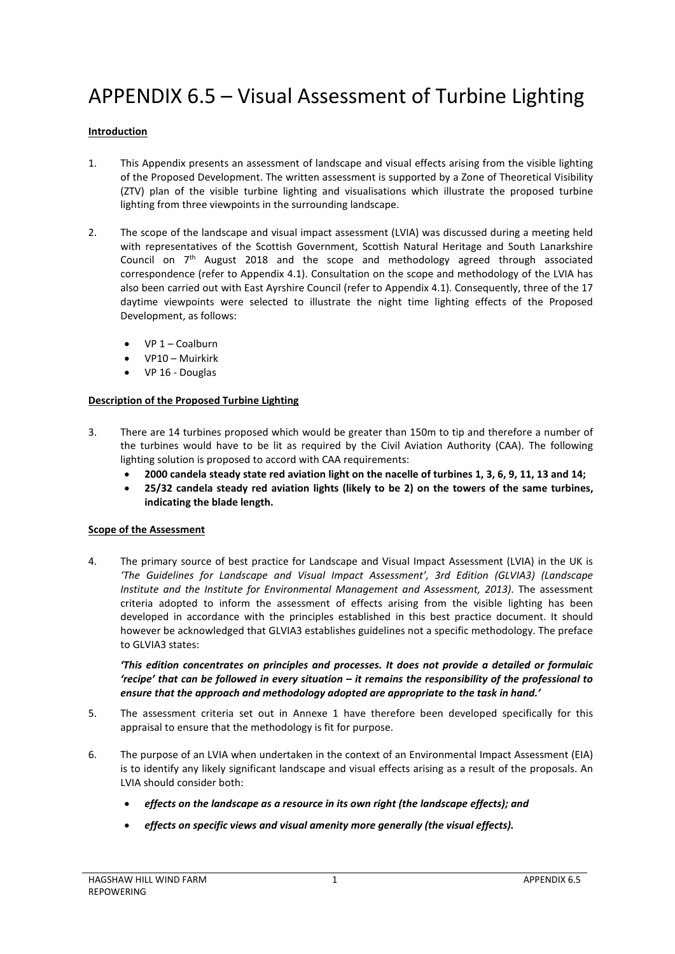## APPENDIX 6.5 – Visual Assessment of Turbine Lighting

## <span id="page-2-0"></span>**Introduction**

- 1. This Appendix presents an assessment of landscape and visual effects arising from the visible lighting of the Proposed Development. The written assessment is supported by a Zone of Theoretical Visibility (ZTV) plan of the visible turbine lighting and visualisations which illustrate the proposed turbine lighting from three viewpoints in the surrounding landscape.
- 2. The scope of the landscape and visual impact assessment (LVIA) was discussed during a meeting held with representatives of the Scottish Government, Scottish Natural Heritage and South Lanarkshire Council on 7th August 2018 and the scope and methodology agreed through associated correspondence (refer to Appendix 4.1). Consultation on the scope and methodology of the LVIA has also been carried out with East Ayrshire Council (refer to Appendix 4.1). Consequently, three of the 17 daytime viewpoints were selected to illustrate the night time lighting effects of the Proposed Development, as follows:
	- VP 1 Coalburn
	- VP10 Muirkirk
	- VP 16 Douglas

#### <span id="page-2-1"></span>**Description of the Proposed Turbine Lighting**

- 3. There are 14 turbines proposed which would be greater than 150m to tip and therefore a number of the turbines would have to be lit as required by the Civil Aviation Authority (CAA). The following lighting solution is proposed to accord with CAA requirements:
	- **2000 candela steady state red aviation light on the nacelle of turbines 1, 3, 6, 9, 11, 13 and 14;**
	- **25/32 candela steady red aviation lights (likely to be 2) on the towers of the same turbines, indicating the blade length.**

#### <span id="page-2-2"></span>**Scope of the Assessment**

4. The primary source of best practice for Landscape and Visual Impact Assessment (LVIA) in the UK is *'The Guidelines for Landscape and Visual Impact Assessment', 3rd Edition (GLVIA3) (Landscape Institute and the Institute for Environmental Management and Assessment, 2013)*. The assessment criteria adopted to inform the assessment of effects arising from the visible lighting has been developed in accordance with the principles established in this best practice document. It should however be acknowledged that GLVIA3 establishes guidelines not a specific methodology. The preface to GLVIA3 states:

*'This edition concentrates on principles and processes. It does not provide a detailed or formulaic 'recipe' that can be followed in every situation – it remains the responsibility of the professional to ensure that the approach and methodology adopted are appropriate to the task in hand.'* 

- 5. The assessment criteria set out in Annexe 1 have therefore been developed specifically for this appraisal to ensure that the methodology is fit for purpose.
- 6. The purpose of an LVIA when undertaken in the context of an Environmental Impact Assessment (EIA) is to identify any likely significant landscape and visual effects arising as a result of the proposals. An LVIA should consider both:
	- *effects on the landscape as a resource in its own right (the landscape effects); and*
	- *effects on specific views and visual amenity more generally (the visual effects).*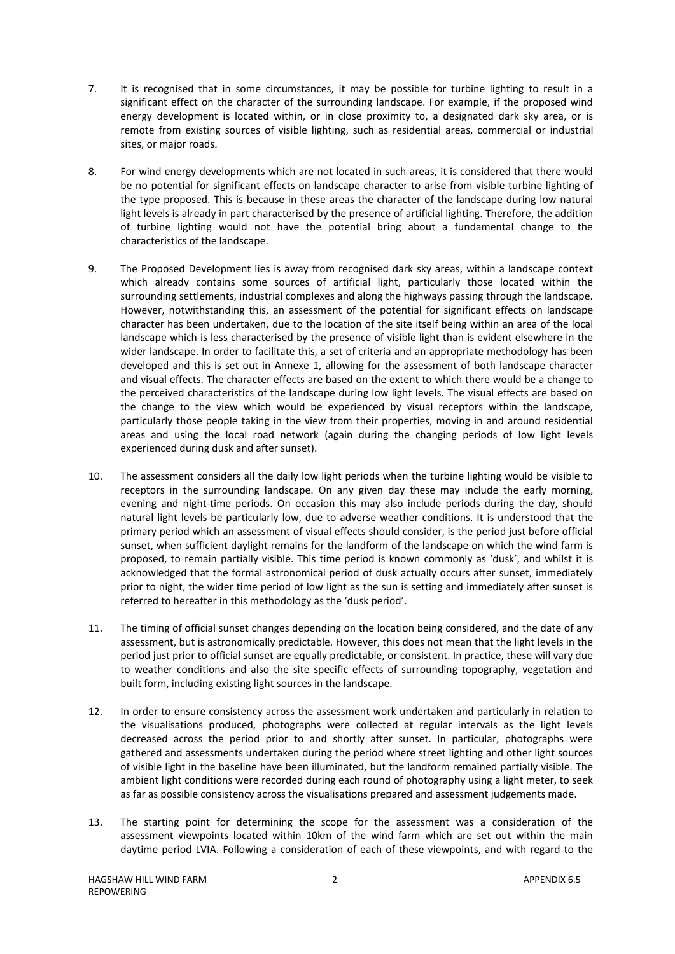- 7. It is recognised that in some circumstances, it may be possible for turbine lighting to result in a significant effect on the character of the surrounding landscape. For example, if the proposed wind energy development is located within, or in close proximity to, a designated dark sky area, or is remote from existing sources of visible lighting, such as residential areas, commercial or industrial sites, or major roads.
- 8. For wind energy developments which are not located in such areas, it is considered that there would be no potential for significant effects on landscape character to arise from visible turbine lighting of the type proposed. This is because in these areas the character of the landscape during low natural light levels is already in part characterised by the presence of artificial lighting. Therefore, the addition of turbine lighting would not have the potential bring about a fundamental change to the characteristics of the landscape.
- 9. The Proposed Development lies is away from recognised dark sky areas, within a landscape context which already contains some sources of artificial light, particularly those located within the surrounding settlements, industrial complexes and along the highways passing through the landscape. However, notwithstanding this, an assessment of the potential for significant effects on landscape character has been undertaken, due to the location of the site itself being within an area of the local landscape which is less characterised by the presence of visible light than is evident elsewhere in the wider landscape. In order to facilitate this, a set of criteria and an appropriate methodology has been developed and this is set out in Annexe 1, allowing for the assessment of both landscape character and visual effects. The character effects are based on the extent to which there would be a change to the perceived characteristics of the landscape during low light levels. The visual effects are based on the change to the view which would be experienced by visual receptors within the landscape, particularly those people taking in the view from their properties, moving in and around residential areas and using the local road network (again during the changing periods of low light levels experienced during dusk and after sunset).
- 10. The assessment considers all the daily low light periods when the turbine lighting would be visible to receptors in the surrounding landscape. On any given day these may include the early morning, evening and night-time periods. On occasion this may also include periods during the day, should natural light levels be particularly low, due to adverse weather conditions. It is understood that the primary period which an assessment of visual effects should consider, is the period just before official sunset, when sufficient daylight remains for the landform of the landscape on which the wind farm is proposed, to remain partially visible. This time period is known commonly as 'dusk', and whilst it is acknowledged that the formal astronomical period of dusk actually occurs after sunset, immediately prior to night, the wider time period of low light as the sun is setting and immediately after sunset is referred to hereafter in this methodology as the 'dusk period'.
- 11. The timing of official sunset changes depending on the location being considered, and the date of any assessment, but is astronomically predictable. However, this does not mean that the light levels in the period just prior to official sunset are equally predictable, or consistent. In practice, these will vary due to weather conditions and also the site specific effects of surrounding topography, vegetation and built form, including existing light sources in the landscape.
- 12. In order to ensure consistency across the assessment work undertaken and particularly in relation to the visualisations produced, photographs were collected at regular intervals as the light levels decreased across the period prior to and shortly after sunset. In particular, photographs were gathered and assessments undertaken during the period where street lighting and other light sources of visible light in the baseline have been illuminated, but the landform remained partially visible. The ambient light conditions were recorded during each round of photography using a light meter, to seek as far as possible consistency across the visualisations prepared and assessment judgements made.
- 13. The starting point for determining the scope for the assessment was a consideration of the assessment viewpoints located within 10km of the wind farm which are set out within the main daytime period LVIA. Following a consideration of each of these viewpoints, and with regard to the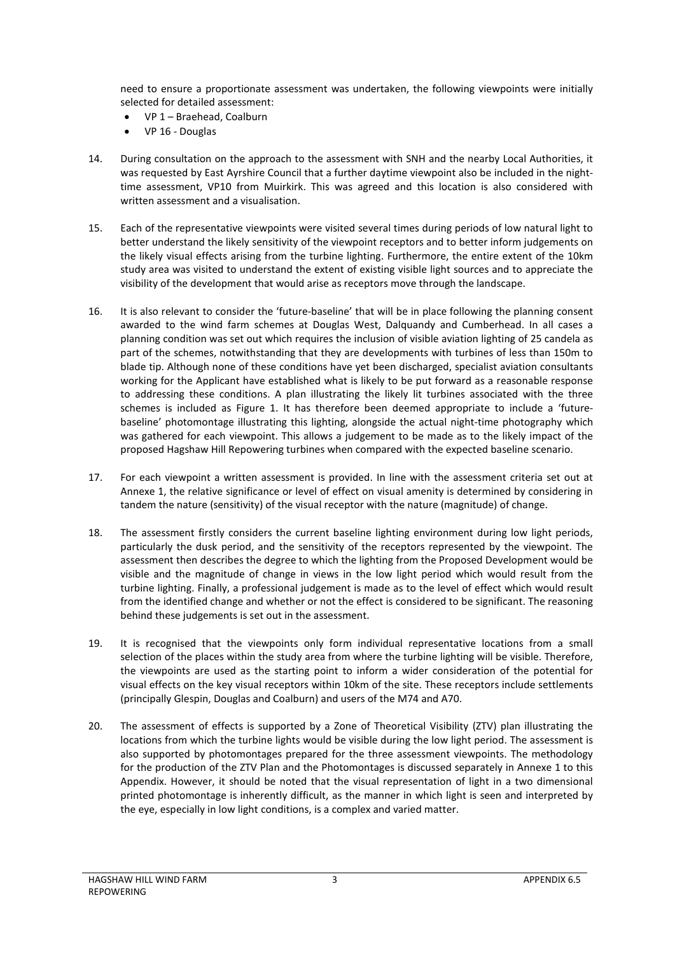need to ensure a proportionate assessment was undertaken, the following viewpoints were initially selected for detailed assessment:

- VP 1 Braehead, Coalburn
- VP 16 Douglas
- 14. During consultation on the approach to the assessment with SNH and the nearby Local Authorities, it was requested by East Ayrshire Council that a further daytime viewpoint also be included in the nighttime assessment, VP10 from Muirkirk. This was agreed and this location is also considered with written assessment and a visualisation.
- 15. Each of the representative viewpoints were visited several times during periods of low natural light to better understand the likely sensitivity of the viewpoint receptors and to better inform judgements on the likely visual effects arising from the turbine lighting. Furthermore, the entire extent of the 10km study area was visited to understand the extent of existing visible light sources and to appreciate the visibility of the development that would arise as receptors move through the landscape.
- 16. It is also relevant to consider the 'future-baseline' that will be in place following the planning consent awarded to the wind farm schemes at Douglas West, Dalquandy and Cumberhead. In all cases a planning condition was set out which requires the inclusion of visible aviation lighting of 25 candela as part of the schemes, notwithstanding that they are developments with turbines of less than 150m to blade tip. Although none of these conditions have yet been discharged, specialist aviation consultants working for the Applicant have established what is likely to be put forward as a reasonable response to addressing these conditions. A plan illustrating the likely lit turbines associated with the three schemes is included as Figure 1. It has therefore been deemed appropriate to include a 'futurebaseline' photomontage illustrating this lighting, alongside the actual night-time photography which was gathered for each viewpoint. This allows a judgement to be made as to the likely impact of the proposed Hagshaw Hill Repowering turbines when compared with the expected baseline scenario.
- 17. For each viewpoint a written assessment is provided. In line with the assessment criteria set out at Annexe 1, the relative significance or level of effect on visual amenity is determined by considering in tandem the nature (sensitivity) of the visual receptor with the nature (magnitude) of change.
- 18. The assessment firstly considers the current baseline lighting environment during low light periods, particularly the dusk period, and the sensitivity of the receptors represented by the viewpoint. The assessment then describes the degree to which the lighting from the Proposed Development would be visible and the magnitude of change in views in the low light period which would result from the turbine lighting. Finally, a professional judgement is made as to the level of effect which would result from the identified change and whether or not the effect is considered to be significant. The reasoning behind these judgements is set out in the assessment.
- 19. It is recognised that the viewpoints only form individual representative locations from a small selection of the places within the study area from where the turbine lighting will be visible. Therefore, the viewpoints are used as the starting point to inform a wider consideration of the potential for visual effects on the key visual receptors within 10km of the site. These receptors include settlements (principally Glespin, Douglas and Coalburn) and users of the M74 and A70.
- 20. The assessment of effects is supported by a Zone of Theoretical Visibility (ZTV) plan illustrating the locations from which the turbine lights would be visible during the low light period. The assessment is also supported by photomontages prepared for the three assessment viewpoints. The methodology for the production of the ZTV Plan and the Photomontages is discussed separately in Annexe 1 to this Appendix. However, it should be noted that the visual representation of light in a two dimensional printed photomontage is inherently difficult, as the manner in which light is seen and interpreted by the eye, especially in low light conditions, is a complex and varied matter.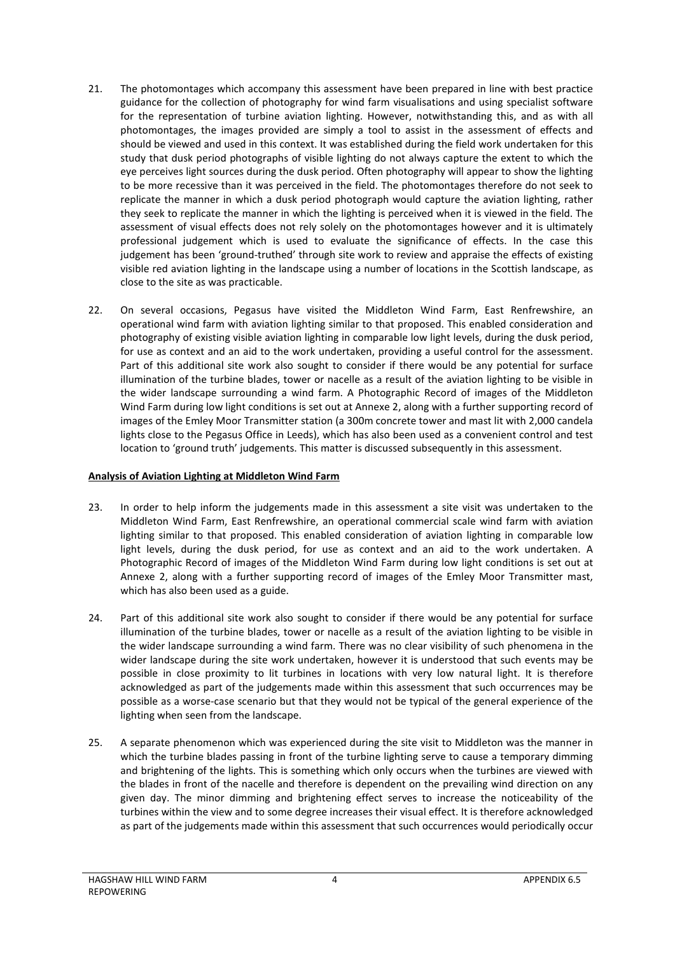- 21. The photomontages which accompany this assessment have been prepared in line with best practice guidance for the collection of photography for wind farm visualisations and using specialist software for the representation of turbine aviation lighting. However, notwithstanding this, and as with all photomontages, the images provided are simply a tool to assist in the assessment of effects and should be viewed and used in this context. It was established during the field work undertaken for this study that dusk period photographs of visible lighting do not always capture the extent to which the eye perceives light sources during the dusk period. Often photography will appear to show the lighting to be more recessive than it was perceived in the field. The photomontages therefore do not seek to replicate the manner in which a dusk period photograph would capture the aviation lighting, rather they seek to replicate the manner in which the lighting is perceived when it is viewed in the field. The assessment of visual effects does not rely solely on the photomontages however and it is ultimately professional judgement which is used to evaluate the significance of effects. In the case this judgement has been 'ground-truthed' through site work to review and appraise the effects of existing visible red aviation lighting in the landscape using a number of locations in the Scottish landscape, as close to the site as was practicable.
- 22. On several occasions, Pegasus have visited the Middleton Wind Farm, East Renfrewshire, an operational wind farm with aviation lighting similar to that proposed. This enabled consideration and photography of existing visible aviation lighting in comparable low light levels, during the dusk period, for use as context and an aid to the work undertaken, providing a useful control for the assessment. Part of this additional site work also sought to consider if there would be any potential for surface illumination of the turbine blades, tower or nacelle as a result of the aviation lighting to be visible in the wider landscape surrounding a wind farm. A Photographic Record of images of the Middleton Wind Farm during low light conditions is set out at Annexe 2, along with a further supporting record of images of the Emley Moor Transmitter station (a 300m concrete tower and mast lit with 2,000 candela lights close to the Pegasus Office in Leeds), which has also been used as a convenient control and test location to 'ground truth' judgements. This matter is discussed subsequently in this assessment.

## <span id="page-5-0"></span>**Analysis of Aviation Lighting at Middleton Wind Farm**

- 23. In order to help inform the judgements made in this assessment a site visit was undertaken to the Middleton Wind Farm, East Renfrewshire, an operational commercial scale wind farm with aviation lighting similar to that proposed. This enabled consideration of aviation lighting in comparable low light levels, during the dusk period, for use as context and an aid to the work undertaken. A Photographic Record of images of the Middleton Wind Farm during low light conditions is set out at Annexe 2, along with a further supporting record of images of the Emley Moor Transmitter mast, which has also been used as a guide.
- 24. Part of this additional site work also sought to consider if there would be any potential for surface illumination of the turbine blades, tower or nacelle as a result of the aviation lighting to be visible in the wider landscape surrounding a wind farm. There was no clear visibility of such phenomena in the wider landscape during the site work undertaken, however it is understood that such events may be possible in close proximity to lit turbines in locations with very low natural light. It is therefore acknowledged as part of the judgements made within this assessment that such occurrences may be possible as a worse-case scenario but that they would not be typical of the general experience of the lighting when seen from the landscape.
- 25. A separate phenomenon which was experienced during the site visit to Middleton was the manner in which the turbine blades passing in front of the turbine lighting serve to cause a temporary dimming and brightening of the lights. This is something which only occurs when the turbines are viewed with the blades in front of the nacelle and therefore is dependent on the prevailing wind direction on any given day. The minor dimming and brightening effect serves to increase the noticeability of the turbines within the view and to some degree increases their visual effect. It is therefore acknowledged as part of the judgements made within this assessment that such occurrences would periodically occur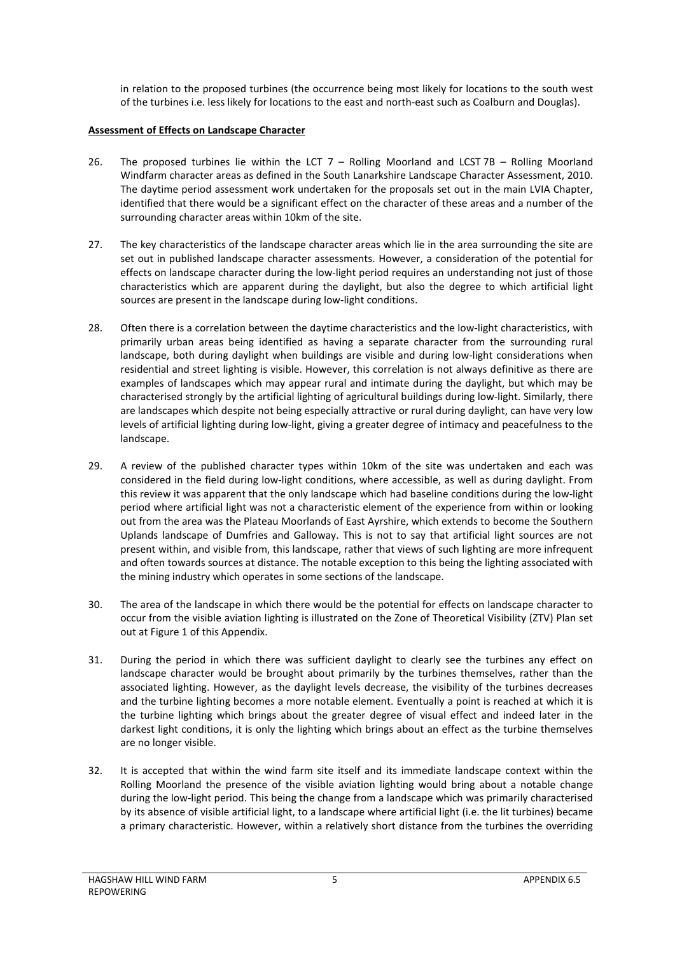in relation to the proposed turbines (the occurrence being most likely for locations to the south west of the turbines i.e. less likely for locations to the east and north-east such as Coalburn and Douglas).

#### <span id="page-6-0"></span>**Assessment of Effects on Landscape Character**

- 26. The proposed turbines lie within the LCT 7 Rolling Moorland and LCST 7B Rolling Moorland Windfarm character areas as defined in the South Lanarkshire Landscape Character Assessment, 2010. The daytime period assessment work undertaken for the proposals set out in the main LVIA Chapter, identified that there would be a significant effect on the character of these areas and a number of the surrounding character areas within 10km of the site.
- 27. The key characteristics of the landscape character areas which lie in the area surrounding the site are set out in published landscape character assessments. However, a consideration of the potential for effects on landscape character during the low-light period requires an understanding not just of those characteristics which are apparent during the daylight, but also the degree to which artificial light sources are present in the landscape during low-light conditions.
- 28. Often there is a correlation between the daytime characteristics and the low-light characteristics, with primarily urban areas being identified as having a separate character from the surrounding rural landscape, both during daylight when buildings are visible and during low-light considerations when residential and street lighting is visible. However, this correlation is not always definitive as there are examples of landscapes which may appear rural and intimate during the daylight, but which may be characterised strongly by the artificial lighting of agricultural buildings during low-light. Similarly, there are landscapes which despite not being especially attractive or rural during daylight, can have very low levels of artificial lighting during low-light, giving a greater degree of intimacy and peacefulness to the landscape.
- 29. A review of the published character types within 10km of the site was undertaken and each was considered in the field during low-light conditions, where accessible, as well as during daylight. From this review it was apparent that the only landscape which had baseline conditions during the low-light period where artificial light was not a characteristic element of the experience from within or looking out from the area was the Plateau Moorlands of East Ayrshire, which extends to become the Southern Uplands landscape of Dumfries and Galloway. This is not to say that artificial light sources are not present within, and visible from, this landscape, rather that views of such lighting are more infrequent and often towards sources at distance. The notable exception to this being the lighting associated with the mining industry which operates in some sections of the landscape.
- 30. The area of the landscape in which there would be the potential for effects on landscape character to occur from the visible aviation lighting is illustrated on the Zone of Theoretical Visibility (ZTV) Plan set out at Figure 1 of this Appendix.
- 31. During the period in which there was sufficient daylight to clearly see the turbines any effect on landscape character would be brought about primarily by the turbines themselves, rather than the associated lighting. However, as the daylight levels decrease, the visibility of the turbines decreases and the turbine lighting becomes a more notable element. Eventually a point is reached at which it is the turbine lighting which brings about the greater degree of visual effect and indeed later in the darkest light conditions, it is only the lighting which brings about an effect as the turbine themselves are no longer visible.
- 32. It is accepted that within the wind farm site itself and its immediate landscape context within the Rolling Moorland the presence of the visible aviation lighting would bring about a notable change during the low-light period. This being the change from a landscape which was primarily characterised by its absence of visible artificial light, to a landscape where artificial light (i.e. the lit turbines) became a primary characteristic. However, within a relatively short distance from the turbines the overriding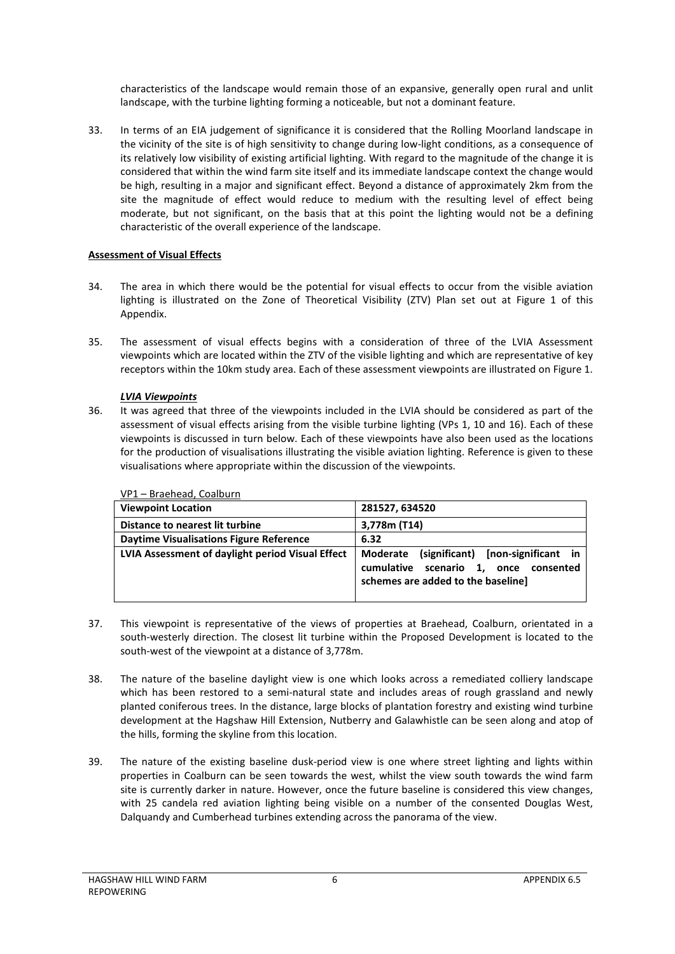characteristics of the landscape would remain those of an expansive, generally open rural and unlit landscape, with the turbine lighting forming a noticeable, but not a dominant feature.

33. In terms of an EIA judgement of significance it is considered that the Rolling Moorland landscape in the vicinity of the site is of high sensitivity to change during low-light conditions, as a consequence of its relatively low visibility of existing artificial lighting. With regard to the magnitude of the change it is considered that within the wind farm site itself and its immediate landscape context the change would be high, resulting in a major and significant effect. Beyond a distance of approximately 2km from the site the magnitude of effect would reduce to medium with the resulting level of effect being moderate, but not significant, on the basis that at this point the lighting would not be a defining characteristic of the overall experience of the landscape.

## <span id="page-7-0"></span>**Assessment of Visual Effects**

- 34. The area in which there would be the potential for visual effects to occur from the visible aviation lighting is illustrated on the Zone of Theoretical Visibility (ZTV) Plan set out at Figure 1 of this Appendix.
- 35. The assessment of visual effects begins with a consideration of three of the LVIA Assessment viewpoints which are located within the ZTV of the visible lighting and which are representative of key receptors within the 10km study area. Each of these assessment viewpoints are illustrated on Figure 1.

## *LVIA Viewpoints*

36. It was agreed that three of the viewpoints included in the LVIA should be considered as part of the assessment of visual effects arising from the visible turbine lighting (VPs 1, 10 and 16). Each of these viewpoints is discussed in turn below. Each of these viewpoints have also been used as the locations for the production of visualisations illustrating the visible aviation lighting. Reference is given to these visualisations where appropriate within the discussion of the viewpoints.

| VI 1 DIUCTICUM, COUIDUITI                        |                                                                                                                              |
|--------------------------------------------------|------------------------------------------------------------------------------------------------------------------------------|
| <b>Viewpoint Location</b>                        | 281527, 634520                                                                                                               |
| Distance to nearest lit turbine                  | 3,778m (T14)                                                                                                                 |
| Daytime Visualisations Figure Reference          | 6.32                                                                                                                         |
| LVIA Assessment of daylight period Visual Effect | (significant) [non-significant in<br>Moderate<br>cumulative scenario 1, once consented<br>schemes are added to the baseline] |

VP1 – Braehead, Coalburn

- 37. This viewpoint is representative of the views of properties at Braehead, Coalburn, orientated in a south-westerly direction. The closest lit turbine within the Proposed Development is located to the south-west of the viewpoint at a distance of 3,778m.
- 38. The nature of the baseline daylight view is one which looks across a remediated colliery landscape which has been restored to a semi-natural state and includes areas of rough grassland and newly planted coniferous trees. In the distance, large blocks of plantation forestry and existing wind turbine development at the Hagshaw Hill Extension, Nutberry and Galawhistle can be seen along and atop of the hills, forming the skyline from this location.
- 39. The nature of the existing baseline dusk-period view is one where street lighting and lights within properties in Coalburn can be seen towards the west, whilst the view south towards the wind farm site is currently darker in nature. However, once the future baseline is considered this view changes, with 25 candela red aviation lighting being visible on a number of the consented Douglas West, Dalquandy and Cumberhead turbines extending across the panorama of the view.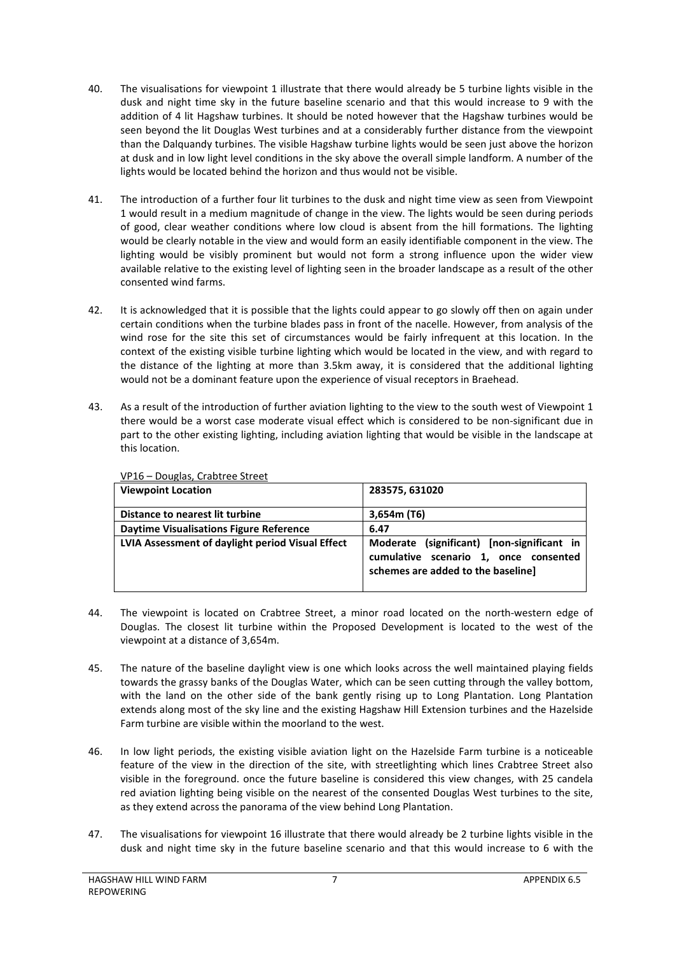- 40. The visualisations for viewpoint 1 illustrate that there would already be 5 turbine lights visible in the dusk and night time sky in the future baseline scenario and that this would increase to 9 with the addition of 4 lit Hagshaw turbines. It should be noted however that the Hagshaw turbines would be seen beyond the lit Douglas West turbines and at a considerably further distance from the viewpoint than the Dalquandy turbines. The visible Hagshaw turbine lights would be seen just above the horizon at dusk and in low light level conditions in the sky above the overall simple landform. A number of the lights would be located behind the horizon and thus would not be visible.
- 41. The introduction of a further four lit turbines to the dusk and night time view as seen from Viewpoint 1 would result in a medium magnitude of change in the view. The lights would be seen during periods of good, clear weather conditions where low cloud is absent from the hill formations. The lighting would be clearly notable in the view and would form an easily identifiable component in the view. The lighting would be visibly prominent but would not form a strong influence upon the wider view available relative to the existing level of lighting seen in the broader landscape as a result of the other consented wind farms.
- 42. It is acknowledged that it is possible that the lights could appear to go slowly off then on again under certain conditions when the turbine blades pass in front of the nacelle. However, from analysis of the wind rose for the site this set of circumstances would be fairly infrequent at this location. In the context of the existing visible turbine lighting which would be located in the view, and with regard to the distance of the lighting at more than 3.5km away, it is considered that the additional lighting would not be a dominant feature upon the experience of visual receptors in Braehead.
- 43. As a result of the introduction of further aviation lighting to the view to the south west of Viewpoint 1 there would be a worst case moderate visual effect which is considered to be non-significant due in part to the other existing lighting, including aviation lighting that would be visible in the landscape at this location.

| vi 10 Douglas, clabeled select                   |                                                                                                                           |
|--------------------------------------------------|---------------------------------------------------------------------------------------------------------------------------|
| <b>Viewpoint Location</b>                        | 283575, 631020                                                                                                            |
| Distance to nearest lit turbine                  | 3,654m(T6)                                                                                                                |
| Daytime Visualisations Figure Reference          | 6.47                                                                                                                      |
| LVIA Assessment of daylight period Visual Effect | Moderate (significant) [non-significant in<br>cumulative scenario 1, once consented<br>schemes are added to the baseline] |

VP16 – Douglas, Crabtree Street

- 44. The viewpoint is located on Crabtree Street, a minor road located on the north-western edge of Douglas. The closest lit turbine within the Proposed Development is located to the west of the viewpoint at a distance of 3,654m.
- 45. The nature of the baseline daylight view is one which looks across the well maintained playing fields towards the grassy banks of the Douglas Water, which can be seen cutting through the valley bottom, with the land on the other side of the bank gently rising up to Long Plantation. Long Plantation extends along most of the sky line and the existing Hagshaw Hill Extension turbines and the Hazelside Farm turbine are visible within the moorland to the west.
- 46. In low light periods, the existing visible aviation light on the Hazelside Farm turbine is a noticeable feature of the view in the direction of the site, with streetlighting which lines Crabtree Street also visible in the foreground. once the future baseline is considered this view changes, with 25 candela red aviation lighting being visible on the nearest of the consented Douglas West turbines to the site, as they extend across the panorama of the view behind Long Plantation.
- 47. The visualisations for viewpoint 16 illustrate that there would already be 2 turbine lights visible in the dusk and night time sky in the future baseline scenario and that this would increase to 6 with the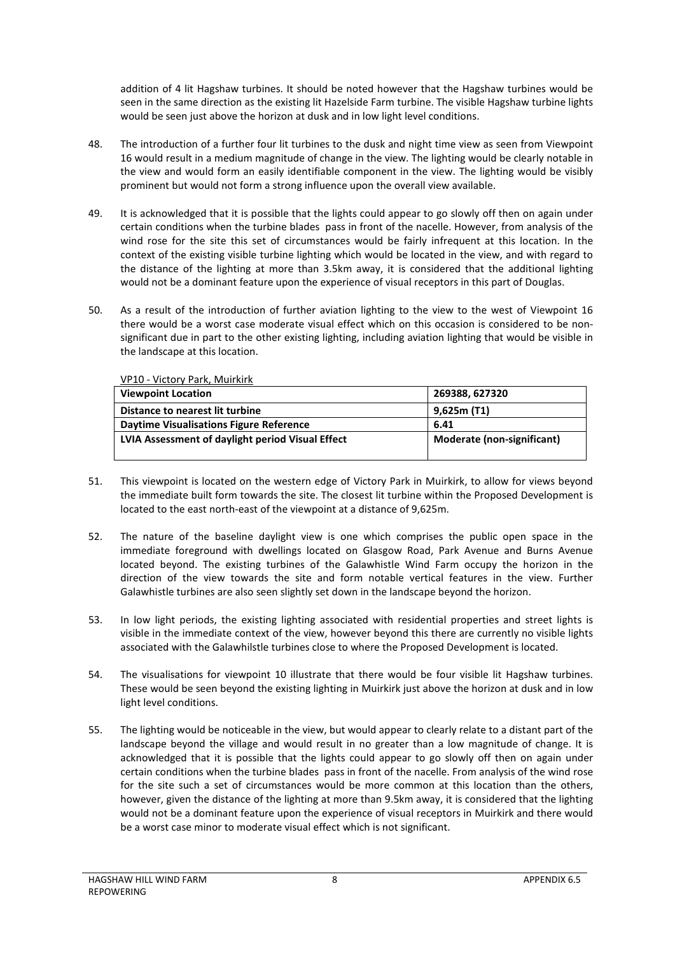addition of 4 lit Hagshaw turbines. It should be noted however that the Hagshaw turbines would be seen in the same direction as the existing lit Hazelside Farm turbine. The visible Hagshaw turbine lights would be seen just above the horizon at dusk and in low light level conditions.

- 48. The introduction of a further four lit turbines to the dusk and night time view as seen from Viewpoint 16 would result in a medium magnitude of change in the view. The lighting would be clearly notable in the view and would form an easily identifiable component in the view. The lighting would be visibly prominent but would not form a strong influence upon the overall view available.
- 49. It is acknowledged that it is possible that the lights could appear to go slowly off then on again under certain conditions when the turbine blades pass in front of the nacelle. However, from analysis of the wind rose for the site this set of circumstances would be fairly infrequent at this location. In the context of the existing visible turbine lighting which would be located in the view, and with regard to the distance of the lighting at more than 3.5km away, it is considered that the additional lighting would not be a dominant feature upon the experience of visual receptors in this part of Douglas.
- 50. As a result of the introduction of further aviation lighting to the view to the west of Viewpoint 16 there would be a worst case moderate visual effect which on this occasion is considered to be nonsignificant due in part to the other existing lighting, including aviation lighting that would be visible in the landscape at this location.

| VP10 - Victory Park, Mulrkirk                    |                            |
|--------------------------------------------------|----------------------------|
| <b>Viewpoint Location</b>                        | 269388, 627320             |
| Distance to nearest lit turbine                  | 9,625m(T1)                 |
| <b>Daytime Visualisations Figure Reference</b>   | 6.41                       |
| LVIA Assessment of daylight period Visual Effect | Moderate (non-significant) |

VP10 - Victory Park, Muirkirk

- 51. This viewpoint is located on the western edge of Victory Park in Muirkirk, to allow for views beyond the immediate built form towards the site. The closest lit turbine within the Proposed Development is located to the east north-east of the viewpoint at a distance of 9,625m.
- 52. The nature of the baseline daylight view is one which comprises the public open space in the immediate foreground with dwellings located on Glasgow Road, Park Avenue and Burns Avenue located beyond. The existing turbines of the Galawhistle Wind Farm occupy the horizon in the direction of the view towards the site and form notable vertical features in the view. Further Galawhistle turbines are also seen slightly set down in the landscape beyond the horizon.
- 53. In low light periods, the existing lighting associated with residential properties and street lights is visible in the immediate context of the view, however beyond this there are currently no visible lights associated with the Galawhilstle turbines close to where the Proposed Development is located.
- 54. The visualisations for viewpoint 10 illustrate that there would be four visible lit Hagshaw turbines. These would be seen beyond the existing lighting in Muirkirk just above the horizon at dusk and in low light level conditions.
- 55. The lighting would be noticeable in the view, but would appear to clearly relate to a distant part of the landscape beyond the village and would result in no greater than a low magnitude of change. It is acknowledged that it is possible that the lights could appear to go slowly off then on again under certain conditions when the turbine blades pass in front of the nacelle. From analysis of the wind rose for the site such a set of circumstances would be more common at this location than the others, however, given the distance of the lighting at more than 9.5km away, it is considered that the lighting would not be a dominant feature upon the experience of visual receptors in Muirkirk and there would be a worst case minor to moderate visual effect which is not significant.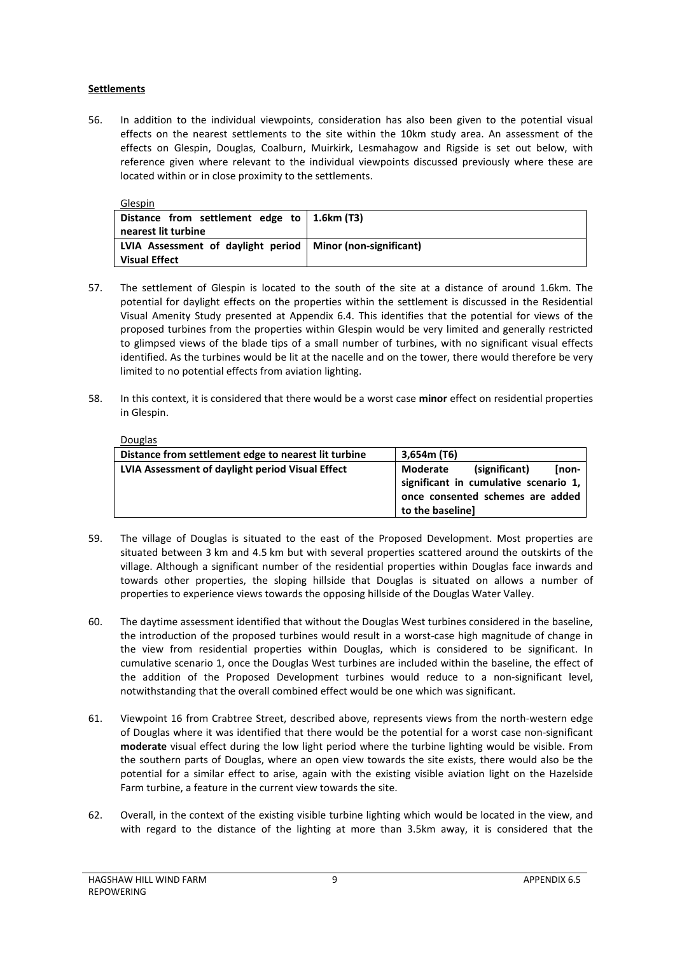#### **Settlements**

56. In addition to the individual viewpoints, consideration has also been given to the potential visual effects on the nearest settlements to the site within the 10km study area. An assessment of the effects on Glespin, Douglas, Coalburn, Muirkirk, Lesmahagow and Rigside is set out below, with reference given where relevant to the individual viewpoints discussed previously where these are located within or in close proximity to the settlements.

| Glespin                                                      |  |
|--------------------------------------------------------------|--|
| Distance from settlement edge to   1.6km (T3)                |  |
| nearest lit turbine                                          |  |
| LVIA Assessment of daylight period   Minor (non-significant) |  |
| <b>Visual Effect</b>                                         |  |

- 57. The settlement of Glespin is located to the south of the site at a distance of around 1.6km. The potential for daylight effects on the properties within the settlement is discussed in the Residential Visual Amenity Study presented at Appendix 6.4. This identifies that the potential for views of the proposed turbines from the properties within Glespin would be very limited and generally restricted to glimpsed views of the blade tips of a small number of turbines, with no significant visual effects identified. As the turbines would be lit at the nacelle and on the tower, there would therefore be very limited to no potential effects from aviation lighting.
- 58. In this context, it is considered that there would be a worst case **minor** effect on residential properties in Glespin.

Douglas

| Distance from settlement edge to nearest lit turbine | 3,654m(T6)                                                                                                                          |
|------------------------------------------------------|-------------------------------------------------------------------------------------------------------------------------------------|
| LVIA Assessment of daylight period Visual Effect     | (significant)<br>[non-<br>Moderate<br>significant in cumulative scenario 1,<br>once consented schemes are added<br>to the baseline] |

- 59. The village of Douglas is situated to the east of the Proposed Development. Most properties are situated between 3 km and 4.5 km but with several properties scattered around the outskirts of the village. Although a significant number of the residential properties within Douglas face inwards and towards other properties, the sloping hillside that Douglas is situated on allows a number of properties to experience views towards the opposing hillside of the Douglas Water Valley.
- 60. The daytime assessment identified that without the Douglas West turbines considered in the baseline, the introduction of the proposed turbines would result in a worst-case high magnitude of change in the view from residential properties within Douglas, which is considered to be significant. In cumulative scenario 1, once the Douglas West turbines are included within the baseline, the effect of the addition of the Proposed Development turbines would reduce to a non-significant level, notwithstanding that the overall combined effect would be one which was significant.
- 61. Viewpoint 16 from Crabtree Street, described above, represents views from the north-western edge of Douglas where it was identified that there would be the potential for a worst case non-significant **moderate** visual effect during the low light period where the turbine lighting would be visible. From the southern parts of Douglas, where an open view towards the site exists, there would also be the potential for a similar effect to arise, again with the existing visible aviation light on the Hazelside Farm turbine, a feature in the current view towards the site.
- 62. Overall, in the context of the existing visible turbine lighting which would be located in the view, and with regard to the distance of the lighting at more than 3.5km away, it is considered that the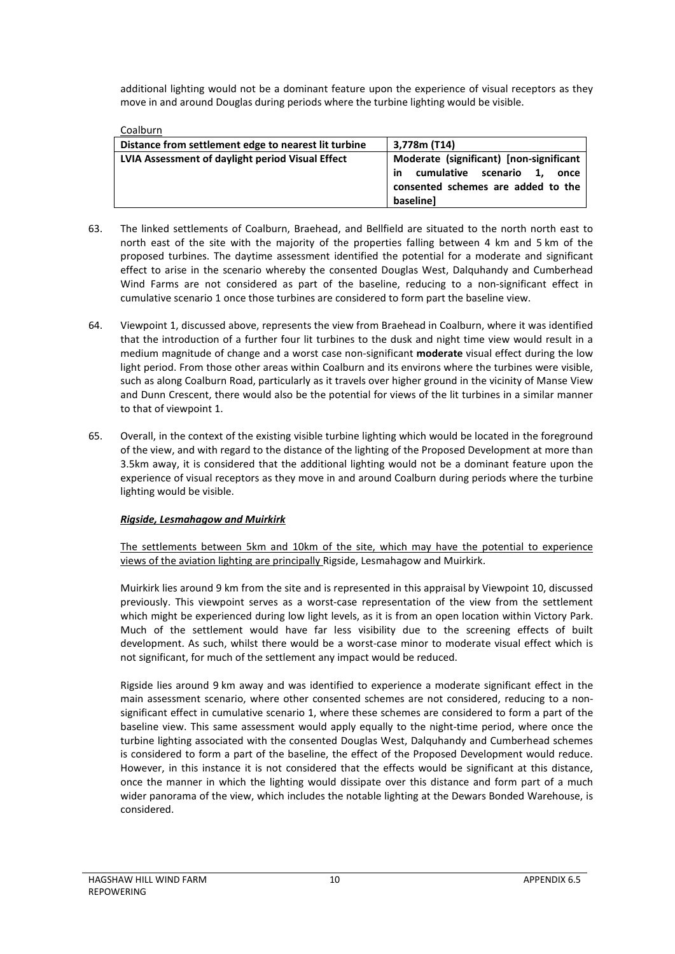additional lighting would not be a dominant feature upon the experience of visual receptors as they move in and around Douglas during periods where the turbine lighting would be visible.

#### Coalburn

| Distance from settlement edge to nearest lit turbine | 3.778m (T14)                            |  |
|------------------------------------------------------|-----------------------------------------|--|
| LVIA Assessment of daylight period Visual Effect     | Moderate (significant) [non-significant |  |
|                                                      | cumulative scenario 1,<br>in<br>once    |  |
|                                                      | consented schemes are added to the      |  |
|                                                      | baselinel                               |  |

- 63. The linked settlements of Coalburn, Braehead, and Bellfield are situated to the north north east to north east of the site with the majority of the properties falling between 4 km and 5 km of the proposed turbines. The daytime assessment identified the potential for a moderate and significant effect to arise in the scenario whereby the consented Douglas West, Dalquhandy and Cumberhead Wind Farms are not considered as part of the baseline, reducing to a non-significant effect in cumulative scenario 1 once those turbines are considered to form part the baseline view.
- 64. Viewpoint 1, discussed above, represents the view from Braehead in Coalburn, where it was identified that the introduction of a further four lit turbines to the dusk and night time view would result in a medium magnitude of change and a worst case non-significant **moderate** visual effect during the low light period. From those other areas within Coalburn and its environs where the turbines were visible, such as along Coalburn Road, particularly as it travels over higher ground in the vicinity of Manse View and Dunn Crescent, there would also be the potential for views of the lit turbines in a similar manner to that of viewpoint 1.
- 65. Overall, in the context of the existing visible turbine lighting which would be located in the foreground of the view, and with regard to the distance of the lighting of the Proposed Development at more than 3.5km away, it is considered that the additional lighting would not be a dominant feature upon the experience of visual receptors as they move in and around Coalburn during periods where the turbine lighting would be visible.

#### *Rigside, Lesmahagow and Muirkirk*

The settlements between 5km and 10km of the site, which may have the potential to experience views of the aviation lighting are principally Rigside, Lesmahagow and Muirkirk.

Muirkirk lies around 9 km from the site and is represented in this appraisal by Viewpoint 10, discussed previously. This viewpoint serves as a worst-case representation of the view from the settlement which might be experienced during low light levels, as it is from an open location within Victory Park. Much of the settlement would have far less visibility due to the screening effects of built development. As such, whilst there would be a worst-case minor to moderate visual effect which is not significant, for much of the settlement any impact would be reduced.

Rigside lies around 9 km away and was identified to experience a moderate significant effect in the main assessment scenario, where other consented schemes are not considered, reducing to a nonsignificant effect in cumulative scenario 1, where these schemes are considered to form a part of the baseline view. This same assessment would apply equally to the night-time period, where once the turbine lighting associated with the consented Douglas West, Dalquhandy and Cumberhead schemes is considered to form a part of the baseline, the effect of the Proposed Development would reduce. However, in this instance it is not considered that the effects would be significant at this distance, once the manner in which the lighting would dissipate over this distance and form part of a much wider panorama of the view, which includes the notable lighting at the Dewars Bonded Warehouse, is considered.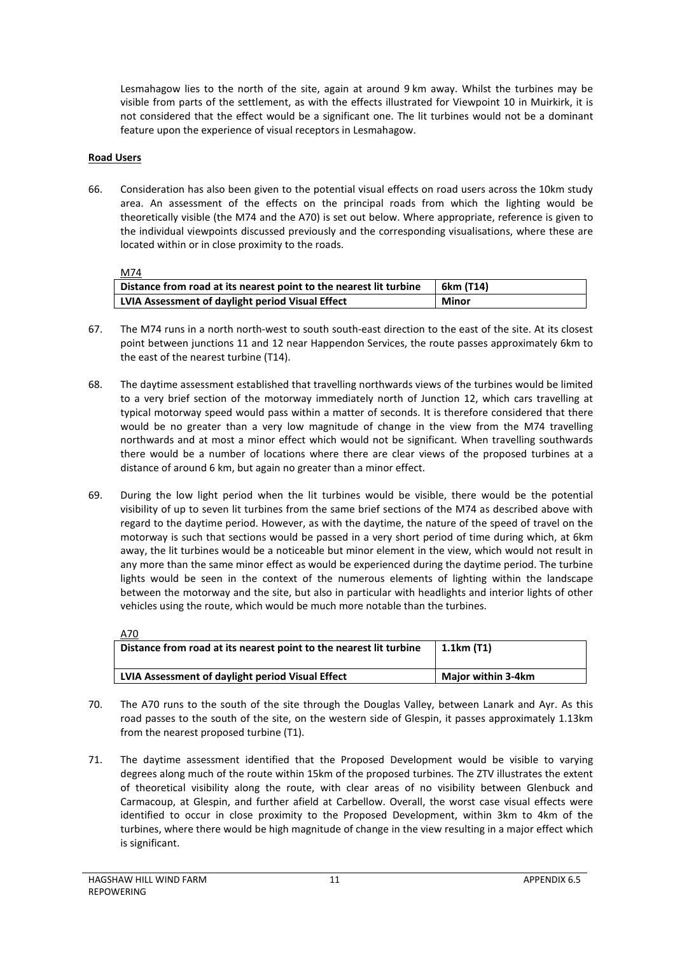Lesmahagow lies to the north of the site, again at around 9 km away. Whilst the turbines may be visible from parts of the settlement, as with the effects illustrated for Viewpoint 10 in Muirkirk, it is not considered that the effect would be a significant one. The lit turbines would not be a dominant feature upon the experience of visual receptors in Lesmahagow.

## **Road Users**

66. Consideration has also been given to the potential visual effects on road users across the 10km study area. An assessment of the effects on the principal roads from which the lighting would be theoretically visible (the M74 and the A70) is set out below. Where appropriate, reference is given to the individual viewpoints discussed previously and the corresponding visualisations, where these are located within or in close proximity to the roads.

M74

| .                                                                  |              |
|--------------------------------------------------------------------|--------------|
| Distance from road at its nearest point to the nearest lit turbine | 6km (T14)    |
| LVIA Assessment of daylight period Visual Effect                   | <b>Minor</b> |

- 67. The M74 runs in a north north-west to south south-east direction to the east of the site. At its closest point between junctions 11 and 12 near Happendon Services, the route passes approximately 6km to the east of the nearest turbine (T14).
- 68. The daytime assessment established that travelling northwards views of the turbines would be limited to a very brief section of the motorway immediately north of Junction 12, which cars travelling at typical motorway speed would pass within a matter of seconds. It is therefore considered that there would be no greater than a very low magnitude of change in the view from the M74 travelling northwards and at most a minor effect which would not be significant. When travelling southwards there would be a number of locations where there are clear views of the proposed turbines at a distance of around 6 km, but again no greater than a minor effect.
- 69. During the low light period when the lit turbines would be visible, there would be the potential visibility of up to seven lit turbines from the same brief sections of the M74 as described above with regard to the daytime period. However, as with the daytime, the nature of the speed of travel on the motorway is such that sections would be passed in a very short period of time during which, at 6km away, the lit turbines would be a noticeable but minor element in the view, which would not result in any more than the same minor effect as would be experienced during the daytime period. The turbine lights would be seen in the context of the numerous elements of lighting within the landscape between the motorway and the site, but also in particular with headlights and interior lights of other vehicles using the route, which would be much more notable than the turbines.

| <u>A70</u>                                                         |                           |
|--------------------------------------------------------------------|---------------------------|
| Distance from road at its nearest point to the nearest lit turbine | $1.1km$ (T1)              |
|                                                                    |                           |
| LVIA Assessment of daylight period Visual Effect                   | <b>Major within 3-4km</b> |

- 70. The A70 runs to the south of the site through the Douglas Valley, between Lanark and Ayr. As this road passes to the south of the site, on the western side of Glespin, it passes approximately 1.13km from the nearest proposed turbine (T1).
- 71. The daytime assessment identified that the Proposed Development would be visible to varying degrees along much of the route within 15km of the proposed turbines. The ZTV illustrates the extent of theoretical visibility along the route, with clear areas of no visibility between Glenbuck and Carmacoup, at Glespin, and further afield at Carbellow. Overall, the worst case visual effects were identified to occur in close proximity to the Proposed Development, within 3km to 4km of the turbines, where there would be high magnitude of change in the view resulting in a major effect which is significant.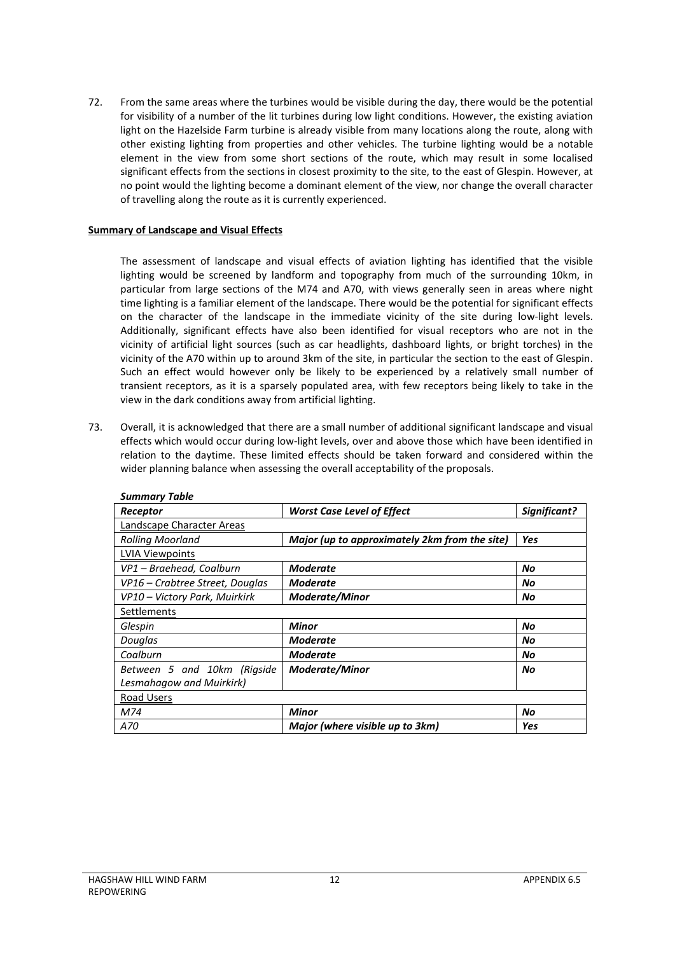72. From the same areas where the turbines would be visible during the day, there would be the potential for visibility of a number of the lit turbines during low light conditions. However, the existing aviation light on the Hazelside Farm turbine is already visible from many locations along the route, along with other existing lighting from properties and other vehicles. The turbine lighting would be a notable element in the view from some short sections of the route, which may result in some localised significant effects from the sections in closest proximity to the site, to the east of Glespin. However, at no point would the lighting become a dominant element of the view, nor change the overall character of travelling along the route as it is currently experienced.

#### <span id="page-13-0"></span>**Summary of Landscape and Visual Effects**

The assessment of landscape and visual effects of aviation lighting has identified that the visible lighting would be screened by landform and topography from much of the surrounding 10km, in particular from large sections of the M74 and A70, with views generally seen in areas where night time lighting is a familiar element of the landscape. There would be the potential for significant effects on the character of the landscape in the immediate vicinity of the site during low-light levels. Additionally, significant effects have also been identified for visual receptors who are not in the vicinity of artificial light sources (such as car headlights, dashboard lights, or bright torches) in the vicinity of the A70 within up to around 3km of the site, in particular the section to the east of Glespin. Such an effect would however only be likely to be experienced by a relatively small number of transient receptors, as it is a sparsely populated area, with few receptors being likely to take in the view in the dark conditions away from artificial lighting.

73. Overall, it is acknowledged that there are a small number of additional significant landscape and visual effects which would occur during low-light levels, over and above those which have been identified in relation to the daytime. These limited effects should be taken forward and considered within the wider planning balance when assessing the overall acceptability of the proposals.

| <b>Summary Table</b>            |                                               |              |  |
|---------------------------------|-----------------------------------------------|--------------|--|
| Receptor                        | <b>Worst Case Level of Effect</b>             | Significant? |  |
| Landscape Character Areas       |                                               |              |  |
| <b>Rolling Moorland</b>         | Major (up to approximately 2km from the site) | Yes          |  |
| <b>LVIA Viewpoints</b>          |                                               |              |  |
| VP1 - Braehead, Coalburn        | Moderate                                      | No           |  |
| VP16 – Crabtree Street, Douglas | <b>Moderate</b>                               | No           |  |
| VP10 - Victory Park, Muirkirk   | <b>Moderate/Minor</b>                         | No           |  |
| Settlements                     |                                               |              |  |
| Glespin                         | <b>Minor</b>                                  | No           |  |
| Douglas                         | Moderate                                      | No           |  |
| Coalburn                        | <b>Moderate</b>                               | No           |  |
| Between 5 and 10km (Rigside     | <b>Moderate/Minor</b>                         | No           |  |
| Lesmahagow and Muirkirk)        |                                               |              |  |
| Road Users                      |                                               |              |  |
| M74                             | <b>Minor</b>                                  | No           |  |
| A70                             | Major (where visible up to 3km)               | Yes          |  |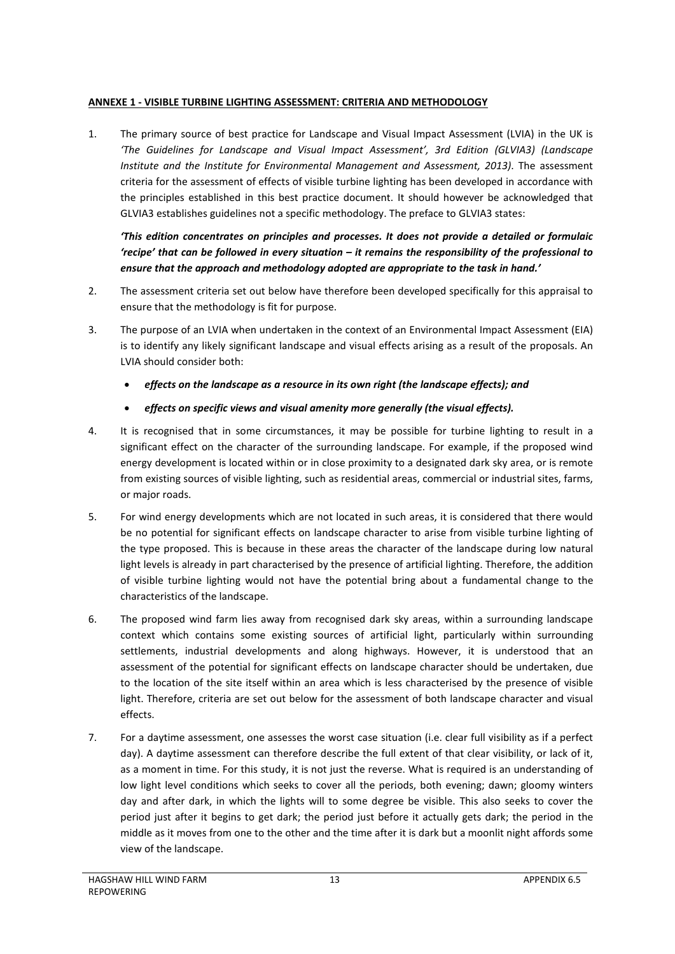## <span id="page-14-0"></span>**ANNEXE 1 - VISIBLE TURBINE LIGHTING ASSESSMENT: CRITERIA AND METHODOLOGY**

1. The primary source of best practice for Landscape and Visual Impact Assessment (LVIA) in the UK is *'The Guidelines for Landscape and Visual Impact Assessment', 3rd Edition (GLVIA3) (Landscape Institute and the Institute for Environmental Management and Assessment, 2013)*. The assessment criteria for the assessment of effects of visible turbine lighting has been developed in accordance with the principles established in this best practice document. It should however be acknowledged that GLVIA3 establishes guidelines not a specific methodology. The preface to GLVIA3 states:

*'This edition concentrates on principles and processes. It does not provide a detailed or formulaic 'recipe' that can be followed in every situation – it remains the responsibility of the professional to ensure that the approach and methodology adopted are appropriate to the task in hand.'* 

- 2. The assessment criteria set out below have therefore been developed specifically for this appraisal to ensure that the methodology is fit for purpose.
- 3. The purpose of an LVIA when undertaken in the context of an Environmental Impact Assessment (EIA) is to identify any likely significant landscape and visual effects arising as a result of the proposals. An LVIA should consider both:
	- *effects on the landscape as a resource in its own right (the landscape effects); and*
	- *effects on specific views and visual amenity more generally (the visual effects).*
- 4. It is recognised that in some circumstances, it may be possible for turbine lighting to result in a significant effect on the character of the surrounding landscape. For example, if the proposed wind energy development is located within or in close proximity to a designated dark sky area, or is remote from existing sources of visible lighting, such as residential areas, commercial or industrial sites, farms, or major roads.
- 5. For wind energy developments which are not located in such areas, it is considered that there would be no potential for significant effects on landscape character to arise from visible turbine lighting of the type proposed. This is because in these areas the character of the landscape during low natural light levels is already in part characterised by the presence of artificial lighting. Therefore, the addition of visible turbine lighting would not have the potential bring about a fundamental change to the characteristics of the landscape.
- 6. The proposed wind farm lies away from recognised dark sky areas, within a surrounding landscape context which contains some existing sources of artificial light, particularly within surrounding settlements, industrial developments and along highways. However, it is understood that an assessment of the potential for significant effects on landscape character should be undertaken, due to the location of the site itself within an area which is less characterised by the presence of visible light. Therefore, criteria are set out below for the assessment of both landscape character and visual effects.
- 7. For a daytime assessment, one assesses the worst case situation (i.e. clear full visibility as if a perfect day). A daytime assessment can therefore describe the full extent of that clear visibility, or lack of it, as a moment in time. For this study, it is not just the reverse. What is required is an understanding of low light level conditions which seeks to cover all the periods, both evening; dawn; gloomy winters day and after dark, in which the lights will to some degree be visible. This also seeks to cover the period just after it begins to get dark; the period just before it actually gets dark; the period in the middle as it moves from one to the other and the time after it is dark but a moonlit night affords some view of the landscape.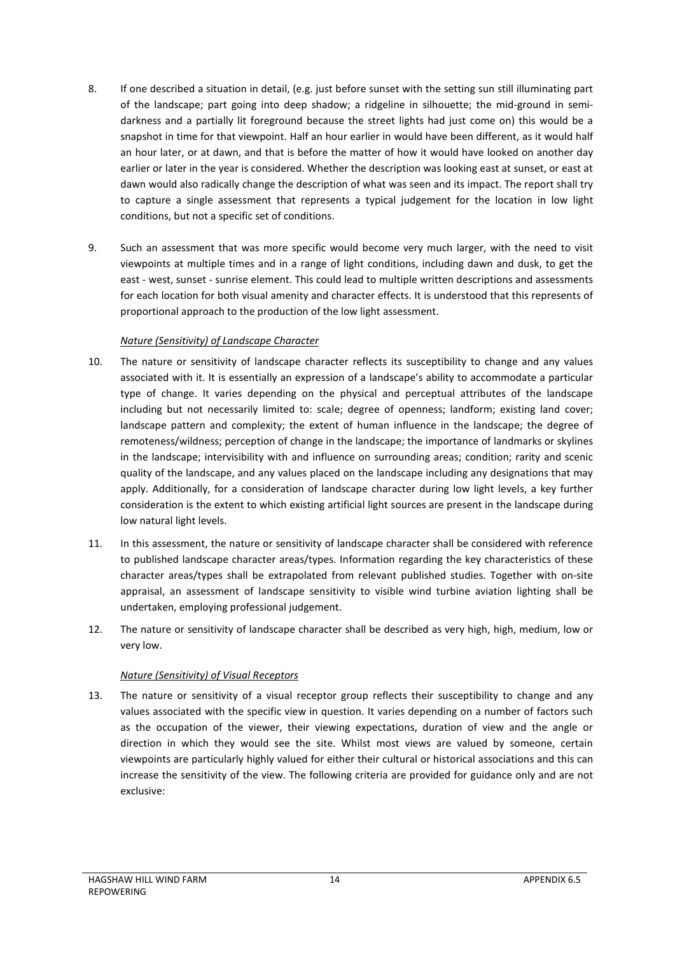- 8. If one described a situation in detail, (e.g. just before sunset with the setting sun still illuminating part of the landscape; part going into deep shadow; a ridgeline in silhouette; the mid-ground in semidarkness and a partially lit foreground because the street lights had just come on) this would be a snapshot in time for that viewpoint. Half an hour earlier in would have been different, as it would half an hour later, or at dawn, and that is before the matter of how it would have looked on another day earlier or later in the year is considered. Whether the description was looking east at sunset, or east at dawn would also radically change the description of what was seen and its impact. The report shall try to capture a single assessment that represents a typical judgement for the location in low light conditions, but not a specific set of conditions.
- 9. Such an assessment that was more specific would become very much larger, with the need to visit viewpoints at multiple times and in a range of light conditions, including dawn and dusk, to get the east - west, sunset - sunrise element. This could lead to multiple written descriptions and assessments for each location for both visual amenity and character effects. It is understood that this represents of proportional approach to the production of the low light assessment.

## *Nature (Sensitivity) of Landscape Character*

- 10. The nature or sensitivity of landscape character reflects its susceptibility to change and any values associated with it. It is essentially an expression of a landscape's ability to accommodate a particular type of change. It varies depending on the physical and perceptual attributes of the landscape including but not necessarily limited to: scale; degree of openness; landform; existing land cover; landscape pattern and complexity; the extent of human influence in the landscape; the degree of remoteness/wildness; perception of change in the landscape; the importance of landmarks or skylines in the landscape; intervisibility with and influence on surrounding areas; condition; rarity and scenic quality of the landscape, and any values placed on the landscape including any designations that may apply. Additionally, for a consideration of landscape character during low light levels, a key further consideration is the extent to which existing artificial light sources are present in the landscape during low natural light levels.
- 11. In this assessment, the nature or sensitivity of landscape character shall be considered with reference to published landscape character areas/types. Information regarding the key characteristics of these character areas/types shall be extrapolated from relevant published studies. Together with on-site appraisal, an assessment of landscape sensitivity to visible wind turbine aviation lighting shall be undertaken, employing professional judgement.
- 12. The nature or sensitivity of landscape character shall be described as very high, high, medium, low or very low.

## *Nature (Sensitivity) of Visual Receptors*

13. The nature or sensitivity of a visual receptor group reflects their susceptibility to change and any values associated with the specific view in question. It varies depending on a number of factors such as the occupation of the viewer, their viewing expectations, duration of view and the angle or direction in which they would see the site. Whilst most views are valued by someone, certain viewpoints are particularly highly valued for either their cultural or historical associations and this can increase the sensitivity of the view. The following criteria are provided for guidance only and are not exclusive: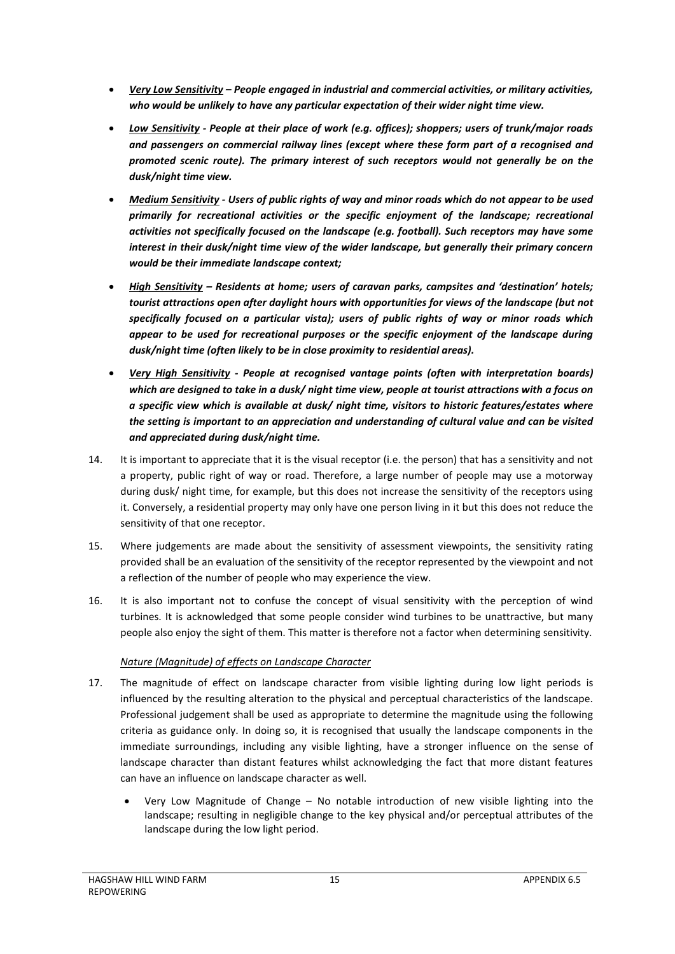- *Very Low Sensitivity – People engaged in industrial and commercial activities, or military activities, who would be unlikely to have any particular expectation of their wider night time view.*
- *Low Sensitivity - People at their place of work (e.g. offices); shoppers; users of trunk/major roads and passengers on commercial railway lines (except where these form part of a recognised and promoted scenic route). The primary interest of such receptors would not generally be on the dusk/night time view.*
- *Medium Sensitivity - Users of public rights of way and minor roads which do not appear to be used primarily for recreational activities or the specific enjoyment of the landscape; recreational activities not specifically focused on the landscape (e.g. football). Such receptors may have some interest in their dusk/night time view of the wider landscape, but generally their primary concern would be their immediate landscape context;*
- *High Sensitivity – Residents at home; users of caravan parks, campsites and 'destination' hotels; tourist attractions open after daylight hours with opportunities for views of the landscape (but not specifically focused on a particular vista); users of public rights of way or minor roads which appear to be used for recreational purposes or the specific enjoyment of the landscape during dusk/night time (often likely to be in close proximity to residential areas).*
- *Very High Sensitivity - People at recognised vantage points (often with interpretation boards) which are designed to take in a dusk/ night time view, people at tourist attractions with a focus on a specific view which is available at dusk/ night time, visitors to historic features/estates where the setting is important to an appreciation and understanding of cultural value and can be visited and appreciated during dusk/night time.*
- 14. It is important to appreciate that it is the visual receptor (i.e. the person) that has a sensitivity and not a property, public right of way or road. Therefore, a large number of people may use a motorway during dusk/ night time, for example, but this does not increase the sensitivity of the receptors using it. Conversely, a residential property may only have one person living in it but this does not reduce the sensitivity of that one receptor.
- 15. Where judgements are made about the sensitivity of assessment viewpoints, the sensitivity rating provided shall be an evaluation of the sensitivity of the receptor represented by the viewpoint and not a reflection of the number of people who may experience the view.
- 16. It is also important not to confuse the concept of visual sensitivity with the perception of wind turbines. It is acknowledged that some people consider wind turbines to be unattractive, but many people also enjoy the sight of them. This matter is therefore not a factor when determining sensitivity.

## *Nature (Magnitude) of effects on Landscape Character*

- 17. The magnitude of effect on landscape character from visible lighting during low light periods is influenced by the resulting alteration to the physical and perceptual characteristics of the landscape. Professional judgement shall be used as appropriate to determine the magnitude using the following criteria as guidance only. In doing so, it is recognised that usually the landscape components in the immediate surroundings, including any visible lighting, have a stronger influence on the sense of landscape character than distant features whilst acknowledging the fact that more distant features can have an influence on landscape character as well.
	- Very Low Magnitude of Change No notable introduction of new visible lighting into the landscape; resulting in negligible change to the key physical and/or perceptual attributes of the landscape during the low light period.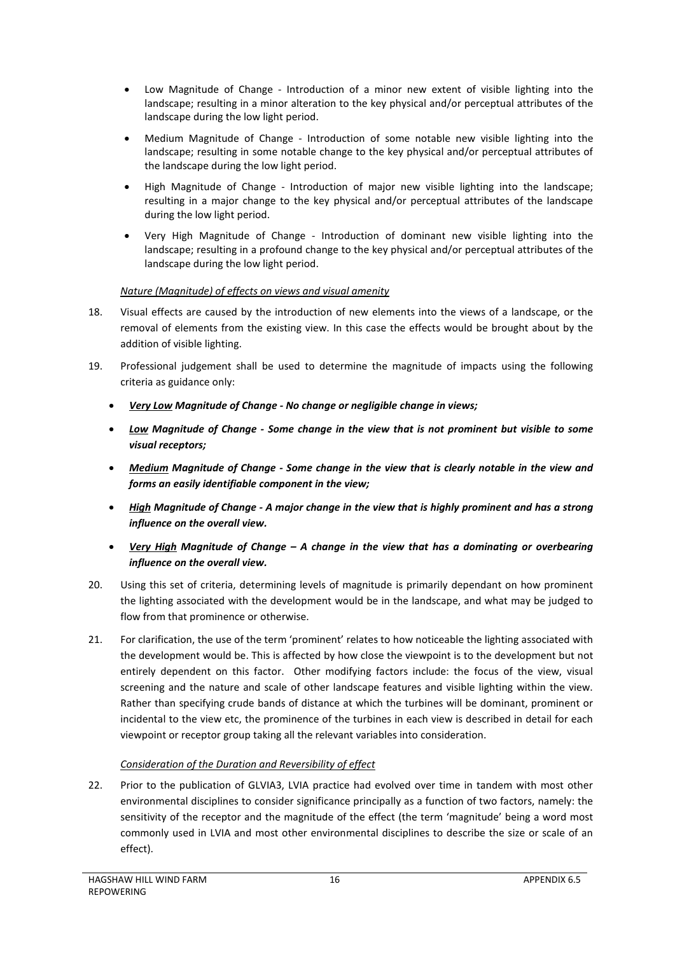- Low Magnitude of Change Introduction of a minor new extent of visible lighting into the landscape; resulting in a minor alteration to the key physical and/or perceptual attributes of the landscape during the low light period.
- Medium Magnitude of Change Introduction of some notable new visible lighting into the landscape; resulting in some notable change to the key physical and/or perceptual attributes of the landscape during the low light period.
- High Magnitude of Change Introduction of major new visible lighting into the landscape; resulting in a major change to the key physical and/or perceptual attributes of the landscape during the low light period.
- Very High Magnitude of Change Introduction of dominant new visible lighting into the landscape; resulting in a profound change to the key physical and/or perceptual attributes of the landscape during the low light period.

## *Nature (Magnitude) of effects on views and visual amenity*

- 18. Visual effects are caused by the introduction of new elements into the views of a landscape, or the removal of elements from the existing view. In this case the effects would be brought about by the addition of visible lighting.
- 19. Professional judgement shall be used to determine the magnitude of impacts using the following criteria as guidance only:
	- *Very Low Magnitude of Change - No change or negligible change in views;*
	- *Low Magnitude of Change - Some change in the view that is not prominent but visible to some visual receptors;*
	- *Medium Magnitude of Change - Some change in the view that is clearly notable in the view and forms an easily identifiable component in the view;*
	- *High Magnitude of Change - A major change in the view that is highly prominent and has a strong influence on the overall view.*
	- *Very High Magnitude of Change – A change in the view that has a dominating or overbearing influence on the overall view.*
- 20. Using this set of criteria, determining levels of magnitude is primarily dependant on how prominent the lighting associated with the development would be in the landscape, and what may be judged to flow from that prominence or otherwise.
- 21. For clarification, the use of the term 'prominent' relates to how noticeable the lighting associated with the development would be. This is affected by how close the viewpoint is to the development but not entirely dependent on this factor. Other modifying factors include: the focus of the view, visual screening and the nature and scale of other landscape features and visible lighting within the view. Rather than specifying crude bands of distance at which the turbines will be dominant, prominent or incidental to the view etc, the prominence of the turbines in each view is described in detail for each viewpoint or receptor group taking all the relevant variables into consideration.

## *Consideration of the Duration and Reversibility of effect*

22. Prior to the publication of GLVIA3, LVIA practice had evolved over time in tandem with most other environmental disciplines to consider significance principally as a function of two factors, namely: the sensitivity of the receptor and the magnitude of the effect (the term 'magnitude' being a word most commonly used in LVIA and most other environmental disciplines to describe the size or scale of an effect).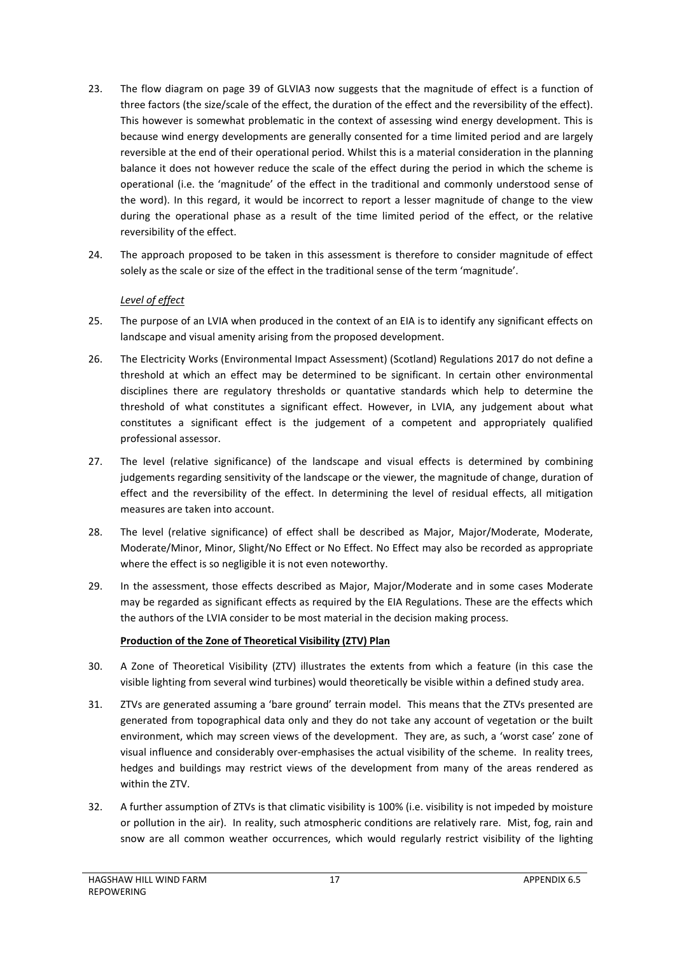- 23. The flow diagram on page 39 of GLVIA3 now suggests that the magnitude of effect is a function of three factors (the size/scale of the effect, the duration of the effect and the reversibility of the effect). This however is somewhat problematic in the context of assessing wind energy development. This is because wind energy developments are generally consented for a time limited period and are largely reversible at the end of their operational period. Whilst this is a material consideration in the planning balance it does not however reduce the scale of the effect during the period in which the scheme is operational (i.e. the 'magnitude' of the effect in the traditional and commonly understood sense of the word). In this regard, it would be incorrect to report a lesser magnitude of change to the view during the operational phase as a result of the time limited period of the effect, or the relative reversibility of the effect.
- 24. The approach proposed to be taken in this assessment is therefore to consider magnitude of effect solely as the scale or size of the effect in the traditional sense of the term 'magnitude'.

## *Level of effect*

- 25. The purpose of an LVIA when produced in the context of an EIA is to identify any significant effects on landscape and visual amenity arising from the proposed development.
- 26. The Electricity Works (Environmental Impact Assessment) (Scotland) Regulations 2017 do not define a threshold at which an effect may be determined to be significant. In certain other environmental disciplines there are regulatory thresholds or quantative standards which help to determine the threshold of what constitutes a significant effect. However, in LVIA, any judgement about what constitutes a significant effect is the judgement of a competent and appropriately qualified professional assessor.
- 27. The level (relative significance) of the landscape and visual effects is determined by combining judgements regarding sensitivity of the landscape or the viewer, the magnitude of change, duration of effect and the reversibility of the effect. In determining the level of residual effects, all mitigation measures are taken into account.
- 28. The level (relative significance) of effect shall be described as Major, Major/Moderate, Moderate, Moderate/Minor, Minor, Slight/No Effect or No Effect. No Effect may also be recorded as appropriate where the effect is so negligible it is not even noteworthy.
- 29. In the assessment, those effects described as Major, Major/Moderate and in some cases Moderate may be regarded as significant effects as required by the EIA Regulations. These are the effects which the authors of the LVIA consider to be most material in the decision making process.

#### **Production of the Zone of Theoretical Visibility (ZTV) Plan**

- 30. A Zone of Theoretical Visibility (ZTV) illustrates the extents from which a feature (in this case the visible lighting from several wind turbines) would theoretically be visible within a defined study area.
- 31. ZTVs are generated assuming a 'bare ground' terrain model. This means that the ZTVs presented are generated from topographical data only and they do not take any account of vegetation or the built environment, which may screen views of the development. They are, as such, a 'worst case' zone of visual influence and considerably over-emphasises the actual visibility of the scheme. In reality trees, hedges and buildings may restrict views of the development from many of the areas rendered as within the ZTV.
- 32. A further assumption of ZTVs is that climatic visibility is 100% (i.e. visibility is not impeded by moisture or pollution in the air). In reality, such atmospheric conditions are relatively rare. Mist, fog, rain and snow are all common weather occurrences, which would regularly restrict visibility of the lighting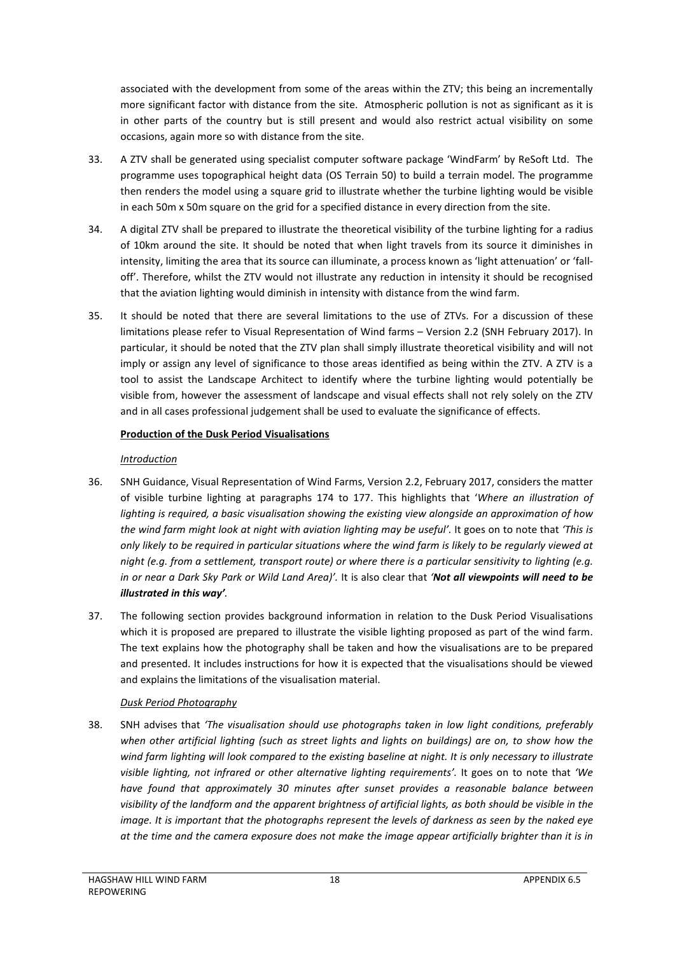associated with the development from some of the areas within the ZTV; this being an incrementally more significant factor with distance from the site. Atmospheric pollution is not as significant as it is in other parts of the country but is still present and would also restrict actual visibility on some occasions, again more so with distance from the site.

- 33. A ZTV shall be generated using specialist computer software package 'WindFarm' by ReSoft Ltd. The programme uses topographical height data (OS Terrain 50) to build a terrain model. The programme then renders the model using a square grid to illustrate whether the turbine lighting would be visible in each 50m x 50m square on the grid for a specified distance in every direction from the site.
- 34. A digital ZTV shall be prepared to illustrate the theoretical visibility of the turbine lighting for a radius of 10km around the site. It should be noted that when light travels from its source it diminishes in intensity, limiting the area that its source can illuminate, a process known as 'light attenuation' or 'falloff'. Therefore, whilst the ZTV would not illustrate any reduction in intensity it should be recognised that the aviation lighting would diminish in intensity with distance from the wind farm.
- 35. It should be noted that there are several limitations to the use of ZTVs. For a discussion of these limitations please refer to Visual Representation of Wind farms – Version 2.2 (SNH February 2017). In particular, it should be noted that the ZTV plan shall simply illustrate theoretical visibility and will not imply or assign any level of significance to those areas identified as being within the ZTV. A ZTV is a tool to assist the Landscape Architect to identify where the turbine lighting would potentially be visible from, however the assessment of landscape and visual effects shall not rely solely on the ZTV and in all cases professional judgement shall be used to evaluate the significance of effects.

## **Production of the Dusk Period Visualisations**

## *Introduction*

- 36. SNH Guidance, Visual Representation of Wind Farms, Version 2.2, February 2017, considers the matter of visible turbine lighting at paragraphs 174 to 177. This highlights that '*Where an illustration of lighting is required, a basic visualisation showing the existing view alongside an approximation of how the wind farm might look at night with aviation lighting may be useful'.* It goes on to note that *'This is only likely to be required in particular situations where the wind farm is likely to be regularly viewed at night (e.g. from a settlement, transport route) or where there is a particular sensitivity to lighting (e.g. in or near a Dark Sky Park or Wild Land Area)'.* It is also clear that *'Not all viewpoints will need to be illustrated in this way'.*
- 37. The following section provides background information in relation to the Dusk Period Visualisations which it is proposed are prepared to illustrate the visible lighting proposed as part of the wind farm. The text explains how the photography shall be taken and how the visualisations are to be prepared and presented. It includes instructions for how it is expected that the visualisations should be viewed and explains the limitations of the visualisation material.

## *Dusk Period Photography*

38. SNH advises that *'The visualisation should use photographs taken in low light conditions, preferably when other artificial lighting (such as street lights and lights on buildings) are on, to show how the wind farm lighting will look compared to the existing baseline at night. It is only necessary to illustrate visible lighting, not infrared or other alternative lighting requirements'.* It goes on to note that *'We have found that approximately 30 minutes after sunset provides a reasonable balance between visibility of the landform and the apparent brightness of artificial lights, as both should be visible in the image. It is important that the photographs represent the levels of darkness as seen by the naked eye at the time and the camera exposure does not make the image appear artificially brighter than it is in*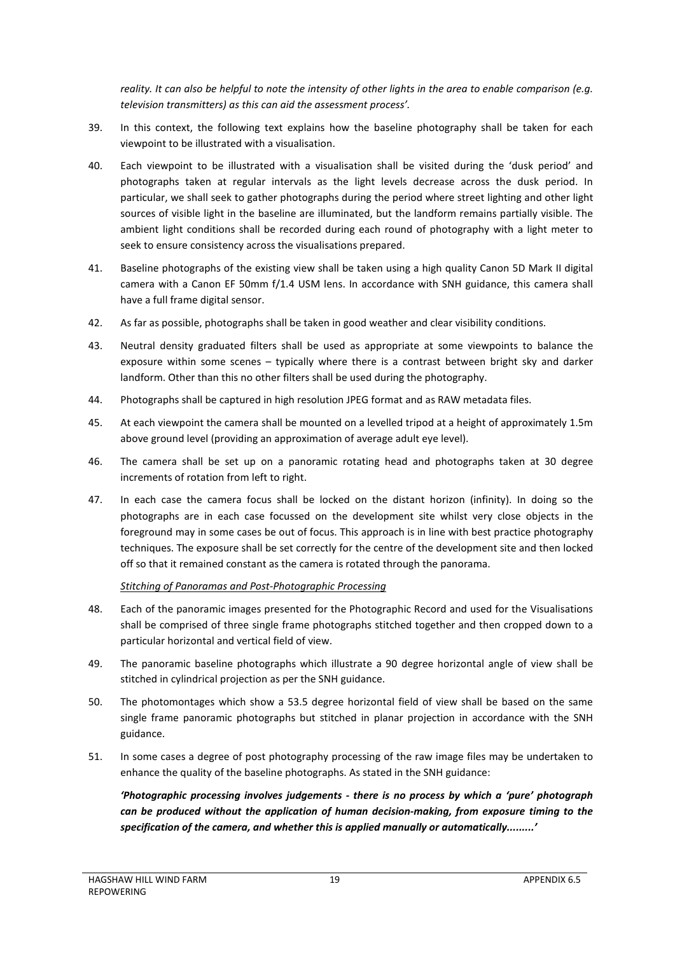*reality. It can also be helpful to note the intensity of other lights in the area to enable comparison (e.g. television transmitters) as this can aid the assessment process'.*

- 39. In this context, the following text explains how the baseline photography shall be taken for each viewpoint to be illustrated with a visualisation.
- 40. Each viewpoint to be illustrated with a visualisation shall be visited during the 'dusk period' and photographs taken at regular intervals as the light levels decrease across the dusk period. In particular, we shall seek to gather photographs during the period where street lighting and other light sources of visible light in the baseline are illuminated, but the landform remains partially visible. The ambient light conditions shall be recorded during each round of photography with a light meter to seek to ensure consistency across the visualisations prepared.
- 41. Baseline photographs of the existing view shall be taken using a high quality Canon 5D Mark II digital camera with a Canon EF 50mm f/1.4 USM lens. In accordance with SNH guidance, this camera shall have a full frame digital sensor.
- 42. As far as possible, photographs shall be taken in good weather and clear visibility conditions.
- 43. Neutral density graduated filters shall be used as appropriate at some viewpoints to balance the exposure within some scenes – typically where there is a contrast between bright sky and darker landform. Other than this no other filters shall be used during the photography.
- 44. Photographs shall be captured in high resolution JPEG format and as RAW metadata files.
- 45. At each viewpoint the camera shall be mounted on a levelled tripod at a height of approximately 1.5m above ground level (providing an approximation of average adult eye level).
- 46. The camera shall be set up on a panoramic rotating head and photographs taken at 30 degree increments of rotation from left to right.
- 47. In each case the camera focus shall be locked on the distant horizon (infinity). In doing so the photographs are in each case focussed on the development site whilst very close objects in the foreground may in some cases be out of focus. This approach is in line with best practice photography techniques. The exposure shall be set correctly for the centre of the development site and then locked off so that it remained constant as the camera is rotated through the panorama.

#### *Stitching of Panoramas and Post-Photographic Processing*

- 48. Each of the panoramic images presented for the Photographic Record and used for the Visualisations shall be comprised of three single frame photographs stitched together and then cropped down to a particular horizontal and vertical field of view.
- 49. The panoramic baseline photographs which illustrate a 90 degree horizontal angle of view shall be stitched in cylindrical projection as per the SNH guidance.
- 50. The photomontages which show a 53.5 degree horizontal field of view shall be based on the same single frame panoramic photographs but stitched in planar projection in accordance with the SNH guidance.
- 51. In some cases a degree of post photography processing of the raw image files may be undertaken to enhance the quality of the baseline photographs. As stated in the SNH guidance:

*'Photographic processing involves judgements - there is no process by which a 'pure' photograph can be produced without the application of human decision-making, from exposure timing to the specification of the camera, and whether this is applied manually or automatically.........'*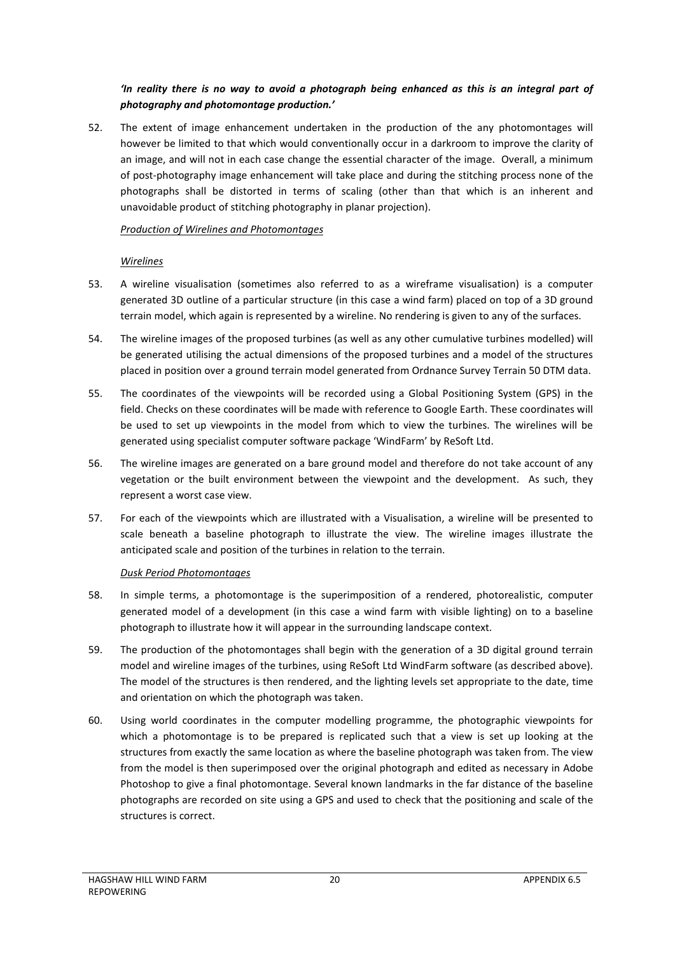## *'In reality there is no way to avoid a photograph being enhanced as this is an integral part of photography and photomontage production.'*

52. The extent of image enhancement undertaken in the production of the any photomontages will however be limited to that which would conventionally occur in a darkroom to improve the clarity of an image, and will not in each case change the essential character of the image. Overall, a minimum of post-photography image enhancement will take place and during the stitching process none of the photographs shall be distorted in terms of scaling (other than that which is an inherent and unavoidable product of stitching photography in planar projection).

## *Production of Wirelines and Photomontages*

## *Wirelines*

- 53. A wireline visualisation (sometimes also referred to as a wireframe visualisation) is a computer generated 3D outline of a particular structure (in this case a wind farm) placed on top of a 3D ground terrain model, which again is represented by a wireline. No rendering is given to any of the surfaces.
- 54. The wireline images of the proposed turbines (as well as any other cumulative turbines modelled) will be generated utilising the actual dimensions of the proposed turbines and a model of the structures placed in position over a ground terrain model generated from Ordnance Survey Terrain 50 DTM data.
- 55. The coordinates of the viewpoints will be recorded using a Global Positioning System (GPS) in the field. Checks on these coordinates will be made with reference to Google Earth. These coordinates will be used to set up viewpoints in the model from which to view the turbines. The wirelines will be generated using specialist computer software package 'WindFarm' by ReSoft Ltd.
- 56. The wireline images are generated on a bare ground model and therefore do not take account of any vegetation or the built environment between the viewpoint and the development. As such, they represent a worst case view.
- 57. For each of the viewpoints which are illustrated with a Visualisation, a wireline will be presented to scale beneath a baseline photograph to illustrate the view. The wireline images illustrate the anticipated scale and position of the turbines in relation to the terrain.

#### *Dusk Period Photomontages*

- 58. In simple terms, a photomontage is the superimposition of a rendered, photorealistic, computer generated model of a development (in this case a wind farm with visible lighting) on to a baseline photograph to illustrate how it will appear in the surrounding landscape context.
- 59. The production of the photomontages shall begin with the generation of a 3D digital ground terrain model and wireline images of the turbines, using ReSoft Ltd WindFarm software (as described above). The model of the structures is then rendered, and the lighting levels set appropriate to the date, time and orientation on which the photograph was taken.
- 60. Using world coordinates in the computer modelling programme, the photographic viewpoints for which a photomontage is to be prepared is replicated such that a view is set up looking at the structures from exactly the same location as where the baseline photograph was taken from. The view from the model is then superimposed over the original photograph and edited as necessary in Adobe Photoshop to give a final photomontage. Several known landmarks in the far distance of the baseline photographs are recorded on site using a GPS and used to check that the positioning and scale of the structures is correct.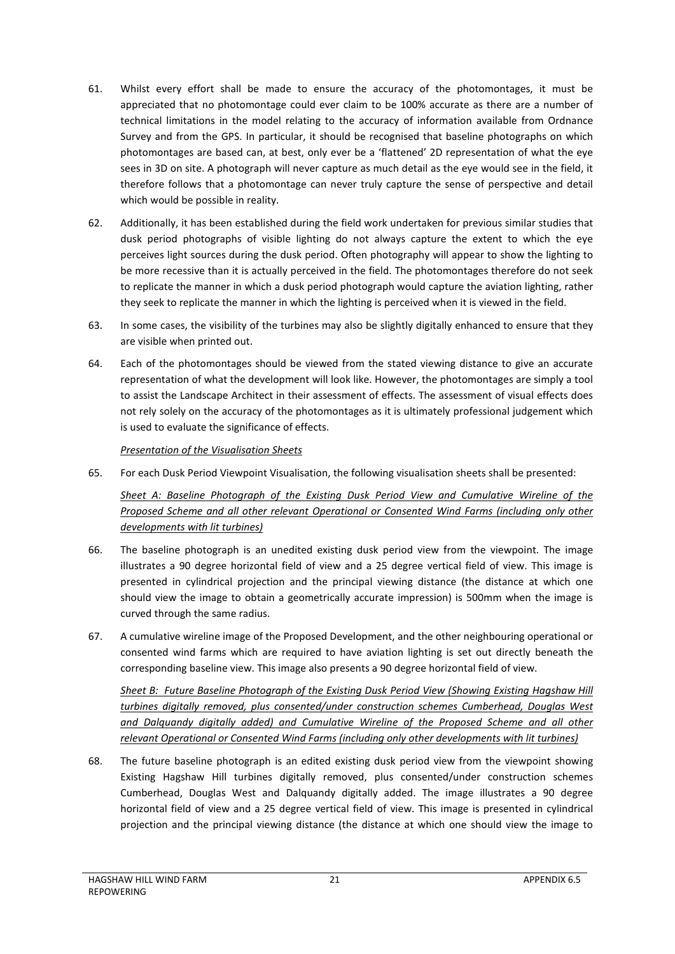- 61. Whilst every effort shall be made to ensure the accuracy of the photomontages, it must be appreciated that no photomontage could ever claim to be 100% accurate as there are a number of technical limitations in the model relating to the accuracy of information available from Ordnance Survey and from the GPS. In particular, it should be recognised that baseline photographs on which photomontages are based can, at best, only ever be a 'flattened' 2D representation of what the eye sees in 3D on site. A photograph will never capture as much detail as the eye would see in the field, it therefore follows that a photomontage can never truly capture the sense of perspective and detail which would be possible in reality.
- 62. Additionally, it has been established during the field work undertaken for previous similar studies that dusk period photographs of visible lighting do not always capture the extent to which the eye perceives light sources during the dusk period. Often photography will appear to show the lighting to be more recessive than it is actually perceived in the field. The photomontages therefore do not seek to replicate the manner in which a dusk period photograph would capture the aviation lighting, rather they seek to replicate the manner in which the lighting is perceived when it is viewed in the field.
- 63. In some cases, the visibility of the turbines may also be slightly digitally enhanced to ensure that they are visible when printed out.
- 64. Each of the photomontages should be viewed from the stated viewing distance to give an accurate representation of what the development will look like. However, the photomontages are simply a tool to assist the Landscape Architect in their assessment of effects. The assessment of visual effects does not rely solely on the accuracy of the photomontages as it is ultimately professional judgement which is used to evaluate the significance of effects.

## *Presentation of the Visualisation Sheets*

65. For each Dusk Period Viewpoint Visualisation, the following visualisation sheets shall be presented:

## *Sheet A: Baseline Photograph of the Existing Dusk Period View and Cumulative Wireline of the Proposed Scheme and all other relevant Operational or Consented Wind Farms (including only other developments with lit turbines)*

- 66. The baseline photograph is an unedited existing dusk period view from the viewpoint. The image illustrates a 90 degree horizontal field of view and a 25 degree vertical field of view. This image is presented in cylindrical projection and the principal viewing distance (the distance at which one should view the image to obtain a geometrically accurate impression) is 500mm when the image is curved through the same radius.
- 67. A cumulative wireline image of the Proposed Development, and the other neighbouring operational or consented wind farms which are required to have aviation lighting is set out directly beneath the corresponding baseline view. This image also presents a 90 degree horizontal field of view.

*Sheet B: Future Baseline Photograph of the Existing Dusk Period View (Showing Existing Hagshaw Hill turbines digitally removed, plus consented/under construction schemes Cumberhead, Douglas West and Dalquandy digitally added) and Cumulative Wireline of the Proposed Scheme and all other relevant Operational or Consented Wind Farms (including only other developments with lit turbines)*

68. The future baseline photograph is an edited existing dusk period view from the viewpoint showing Existing Hagshaw Hill turbines digitally removed, plus consented/under construction schemes Cumberhead, Douglas West and Dalquandy digitally added. The image illustrates a 90 degree horizontal field of view and a 25 degree vertical field of view. This image is presented in cylindrical projection and the principal viewing distance (the distance at which one should view the image to